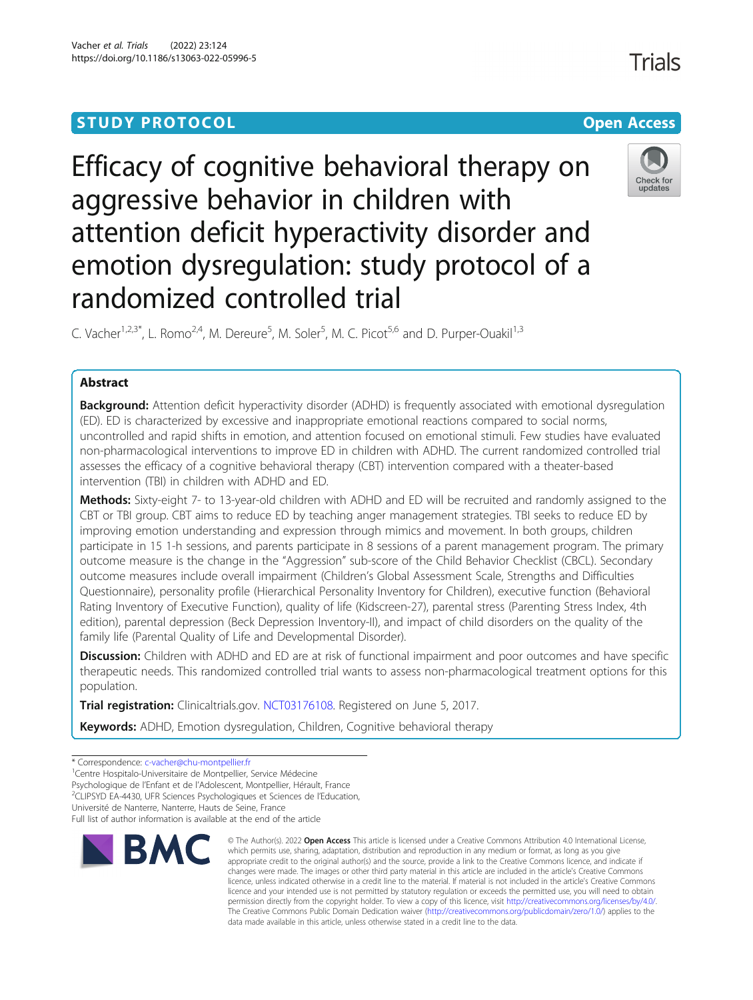# **STUDY PROTOCOL CONSUMING THE RESERVE ACCESS**

# Efficacy of cognitive behavioral therapy on aggressive behavior in children with attention deficit hyperactivity disorder and emotion dysregulation: study protocol of a randomized controlled trial

C. Vacher<sup>1,2,3\*</sup>, L. Romo<sup>2,4</sup>, M. Dereure<sup>5</sup>, M. Soler<sup>5</sup>, M. C. Picot<sup>5,6</sup> and D. Purper-Ouakil<sup>1,3</sup>

# Abstract

**Background:** Attention deficit hyperactivity disorder (ADHD) is frequently associated with emotional dysregulation (ED). ED is characterized by excessive and inappropriate emotional reactions compared to social norms, uncontrolled and rapid shifts in emotion, and attention focused on emotional stimuli. Few studies have evaluated non-pharmacological interventions to improve ED in children with ADHD. The current randomized controlled trial assesses the efficacy of a cognitive behavioral therapy (CBT) intervention compared with a theater-based intervention (TBI) in children with ADHD and ED.

Methods: Sixty-eight 7- to 13-year-old children with ADHD and ED will be recruited and randomly assigned to the CBT or TBI group. CBT aims to reduce ED by teaching anger management strategies. TBI seeks to reduce ED by improving emotion understanding and expression through mimics and movement. In both groups, children participate in 15 1-h sessions, and parents participate in 8 sessions of a parent management program. The primary outcome measure is the change in the "Aggression" sub-score of the Child Behavior Checklist (CBCL). Secondary outcome measures include overall impairment (Children's Global Assessment Scale, Strengths and Difficulties Questionnaire), personality profile (Hierarchical Personality Inventory for Children), executive function (Behavioral Rating Inventory of Executive Function), quality of life (Kidscreen-27), parental stress (Parenting Stress Index, 4th edition), parental depression (Beck Depression Inventory-II), and impact of child disorders on the quality of the family life (Parental Quality of Life and Developmental Disorder).

Discussion: Children with ADHD and ED are at risk of functional impairment and poor outcomes and have specific therapeutic needs. This randomized controlled trial wants to assess non-pharmacological treatment options for this population.

**Trial registration:** Clinicaltrials.gov. [NCT03176108](https://clinicaltrials.gov/ct2/show/results/NCT03176108?cond=Adhd&cntry=FR&draw=2&rank=7). Registered on June 5, 2017.

Keywords: ADHD, Emotion dysregulation, Children, Cognitive behavioral therapy

Université de Nanterre, Nanterre, Hauts de Seine, France Full list of author information is available at the end of the article



<sup>©</sup> The Author(s), 2022 **Open Access** This article is licensed under a Creative Commons Attribution 4.0 International License, which permits use, sharing, adaptation, distribution and reproduction in any medium or format, as long as you give appropriate credit to the original author(s) and the source, provide a link to the Creative Commons licence, and indicate if changes were made. The images or other third party material in this article are included in the article's Creative Commons licence, unless indicated otherwise in a credit line to the material. If material is not included in the article's Creative Commons licence and your intended use is not permitted by statutory regulation or exceeds the permitted use, you will need to obtain permission directly from the copyright holder. To view a copy of this licence, visit [http://creativecommons.org/licenses/by/4.0/.](http://creativecommons.org/licenses/by/4.0/) The Creative Commons Public Domain Dedication waiver [\(http://creativecommons.org/publicdomain/zero/1.0/](http://creativecommons.org/publicdomain/zero/1.0/)) applies to the data made available in this article, unless otherwise stated in a credit line to the data.



<sup>\*</sup> Correspondence: [c-vacher@chu-montpellier.fr](mailto:c-vacher@chu-montpellier.fr) <sup>1</sup>

<sup>&</sup>lt;sup>1</sup> Centre Hospitalo-Universitaire de Montpellier, Service Médecine

Psychologique de l'Enfant et de l'Adolescent, Montpellier, Hérault, France <sup>2</sup>

<sup>&</sup>lt;sup>2</sup>CLIPSYD EA-4430, UFR Sciences Psychologiques et Sciences de l'Education,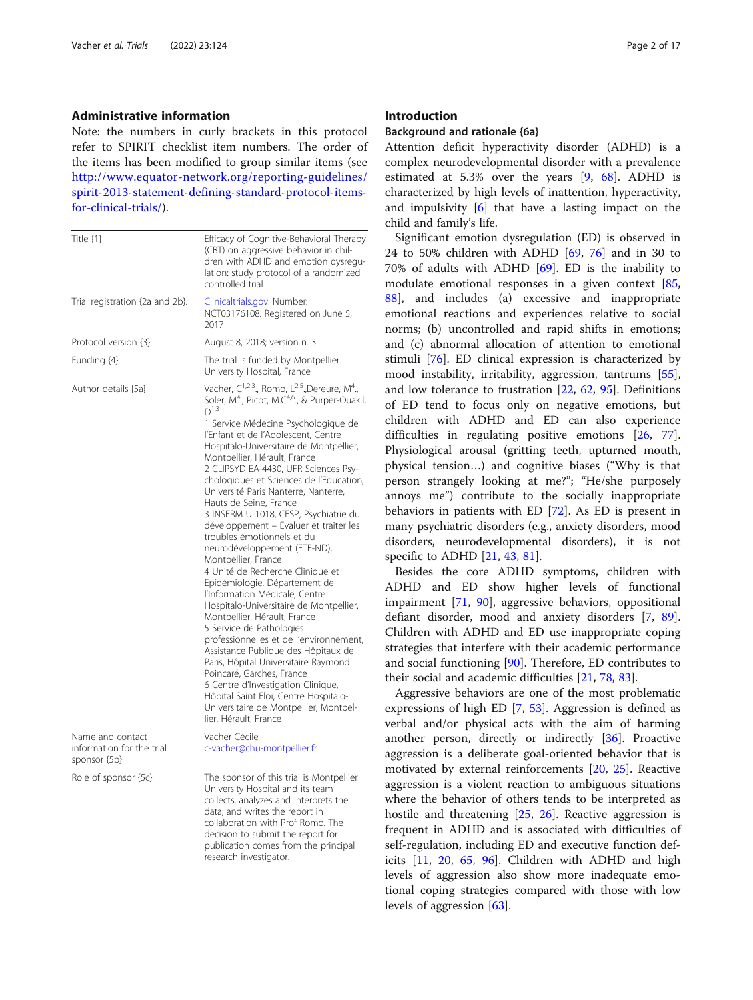#### Administrative information

Note: the numbers in curly brackets in this protocol refer to SPIRIT checklist item numbers. The order of the items has been modified to group similar items (see [http://www.equator-network.org/reporting-guidelines/](http://www.equator-network.org/reporting-guidelines/spirit-2013-statement-defining-standard-protocol-items-for-clinical-trials/) [spirit-2013-statement-defining-standard-protocol-items](http://www.equator-network.org/reporting-guidelines/spirit-2013-statement-defining-standard-protocol-items-for-clinical-trials/)[for-clinical-trials/](http://www.equator-network.org/reporting-guidelines/spirit-2013-statement-defining-standard-protocol-items-for-clinical-trials/)).

| Title {1}                                                     | Efficacy of Cognitive-Behavioral Therapy<br>(CBT) on aggressive behavior in chil-<br>dren with ADHD and emotion dysregu-<br>lation: study protocol of a randomized<br>controlled trial                                                                                                                                                                                                                                                                                                                                                                                                                                                                                                                                                                                                                                                                                                                                                                                                                    |  |  |
|---------------------------------------------------------------|-----------------------------------------------------------------------------------------------------------------------------------------------------------------------------------------------------------------------------------------------------------------------------------------------------------------------------------------------------------------------------------------------------------------------------------------------------------------------------------------------------------------------------------------------------------------------------------------------------------------------------------------------------------------------------------------------------------------------------------------------------------------------------------------------------------------------------------------------------------------------------------------------------------------------------------------------------------------------------------------------------------|--|--|
| Trial registration {2a and 2b}.                               | Clinicaltrials.gov. Number:<br>NCT03176108. Registered on June 5,<br>2017                                                                                                                                                                                                                                                                                                                                                                                                                                                                                                                                                                                                                                                                                                                                                                                                                                                                                                                                 |  |  |
| Protocol version {3}                                          | August 8, 2018; version n. 3                                                                                                                                                                                                                                                                                                                                                                                                                                                                                                                                                                                                                                                                                                                                                                                                                                                                                                                                                                              |  |  |
| Funding {4}                                                   | The trial is funded by Montpellier<br>University Hospital, France                                                                                                                                                                                                                                                                                                                                                                                                                                                                                                                                                                                                                                                                                                                                                                                                                                                                                                                                         |  |  |
| Author details {5a}                                           | Vacher, $C^{1,2,3}$ ., Romo, L <sup>2,5</sup> ., Dereure, M <sup>4</sup> .,<br>Soler, M <sup>4</sup> ., Picot, M.C <sup>4,6</sup> ., & Purper-Ouakil,<br>$D^{1,3}$                                                                                                                                                                                                                                                                                                                                                                                                                                                                                                                                                                                                                                                                                                                                                                                                                                        |  |  |
|                                                               | 1 Service Médecine Psychologique de<br>l'Enfant et de l'Adolescent, Centre<br>Hospitalo-Universitaire de Montpellier,<br>Montpellier, Hérault, France<br>2 CLIPSYD EA-4430, UFR Sciences Psy-<br>chologiques et Sciences de l'Education,<br>Université Paris Nanterre, Nanterre,<br>Hauts de Seine, France<br>3 INSERM U 1018, CESP, Psychiatrie du<br>développement - Evaluer et traiter les<br>troubles émotionnels et du<br>neurodéveloppement (ETE-ND),<br>Montpellier, France<br>4 Unité de Recherche Clinique et<br>Epidémiologie, Département de<br>l'Information Médicale, Centre<br>Hospitalo-Universitaire de Montpellier,<br>Montpellier, Hérault, France<br>5 Service de Pathologies<br>professionnelles et de l'environnement,<br>Assistance Publique des Hôpitaux de<br>Paris, Hôpital Universitaire Raymond<br>Poincaré, Garches, France<br>6 Centre d'Investigation Clinique,<br>Hôpital Saint Eloi, Centre Hospitalo-<br>Universitaire de Montpellier, Montpel-<br>lier, Hérault, France |  |  |
| Name and contact<br>information for the trial<br>sponsor {5b} | Vacher Cécile<br>c-vacher@chu-montpellier.fr                                                                                                                                                                                                                                                                                                                                                                                                                                                                                                                                                                                                                                                                                                                                                                                                                                                                                                                                                              |  |  |
| Role of sponsor {5c}                                          | The sponsor of this trial is Montpellier<br>University Hospital and its team<br>collects, analyzes and interprets the<br>data; and writes the report in<br>collaboration with Prof Romo. The<br>decision to submit the report for<br>publication comes from the principal<br>research investigator.                                                                                                                                                                                                                                                                                                                                                                                                                                                                                                                                                                                                                                                                                                       |  |  |

#### Introduction

#### Background and rationale {6a}

Attention deficit hyperactivity disorder (ADHD) is a complex neurodevelopmental disorder with a prevalence estimated at 5.3% over the years [\[9](#page-14-0), [68\]](#page-16-0). ADHD is characterized by high levels of inattention, hyperactivity, and impulsivity [[6\]](#page-14-0) that have a lasting impact on the child and family's life.

Significant emotion dysregulation (ED) is observed in 24 to 50% children with ADHD [[69,](#page-16-0) [76](#page-16-0)] and in 30 to 70% of adults with ADHD [\[69\]](#page-16-0). ED is the inability to modulate emotional responses in a given context [[85](#page-16-0), [88\]](#page-16-0), and includes (a) excessive and inappropriate emotional reactions and experiences relative to social norms; (b) uncontrolled and rapid shifts in emotions; and (c) abnormal allocation of attention to emotional stimuli [[76](#page-16-0)]. ED clinical expression is characterized by mood instability, irritability, aggression, tantrums [\[55](#page-15-0)], and low tolerance to frustration [[22,](#page-14-0) [62](#page-16-0), [95\]](#page-16-0). Definitions of ED tend to focus only on negative emotions, but children with ADHD and ED can also experience difficulties in regulating positive emotions [\[26](#page-15-0), [77](#page-16-0)]. Physiological arousal (gritting teeth, upturned mouth, physical tension…) and cognitive biases ("Why is that person strangely looking at me?"; "He/she purposely annoys me") contribute to the socially inappropriate behaviors in patients with ED [[72](#page-16-0)]. As ED is present in many psychiatric disorders (e.g., anxiety disorders, mood disorders, neurodevelopmental disorders), it is not specific to ADHD [[21,](#page-14-0) [43,](#page-15-0) [81\]](#page-16-0).

Besides the core ADHD symptoms, children with ADHD and ED show higher levels of functional impairment [\[71](#page-16-0), [90\]](#page-16-0), aggressive behaviors, oppositional defiant disorder, mood and anxiety disorders [[7,](#page-14-0) [89](#page-16-0)]. Children with ADHD and ED use inappropriate coping strategies that interfere with their academic performance and social functioning [[90\]](#page-16-0). Therefore, ED contributes to their social and academic difficulties [[21,](#page-14-0) [78](#page-16-0), [83](#page-16-0)].

Aggressive behaviors are one of the most problematic expressions of high ED [\[7](#page-14-0), [53\]](#page-15-0). Aggression is defined as verbal and/or physical acts with the aim of harming another person, directly or indirectly [\[36](#page-15-0)]. Proactive aggression is a deliberate goal-oriented behavior that is motivated by external reinforcements [\[20](#page-14-0), [25](#page-15-0)]. Reactive aggression is a violent reaction to ambiguous situations where the behavior of others tends to be interpreted as hostile and threatening [\[25](#page-15-0), [26\]](#page-15-0). Reactive aggression is frequent in ADHD and is associated with difficulties of self-regulation, including ED and executive function deficits [[11](#page-14-0), [20,](#page-14-0) [65](#page-16-0), [96](#page-16-0)]. Children with ADHD and high levels of aggression also show more inadequate emotional coping strategies compared with those with low levels of aggression [\[63](#page-16-0)].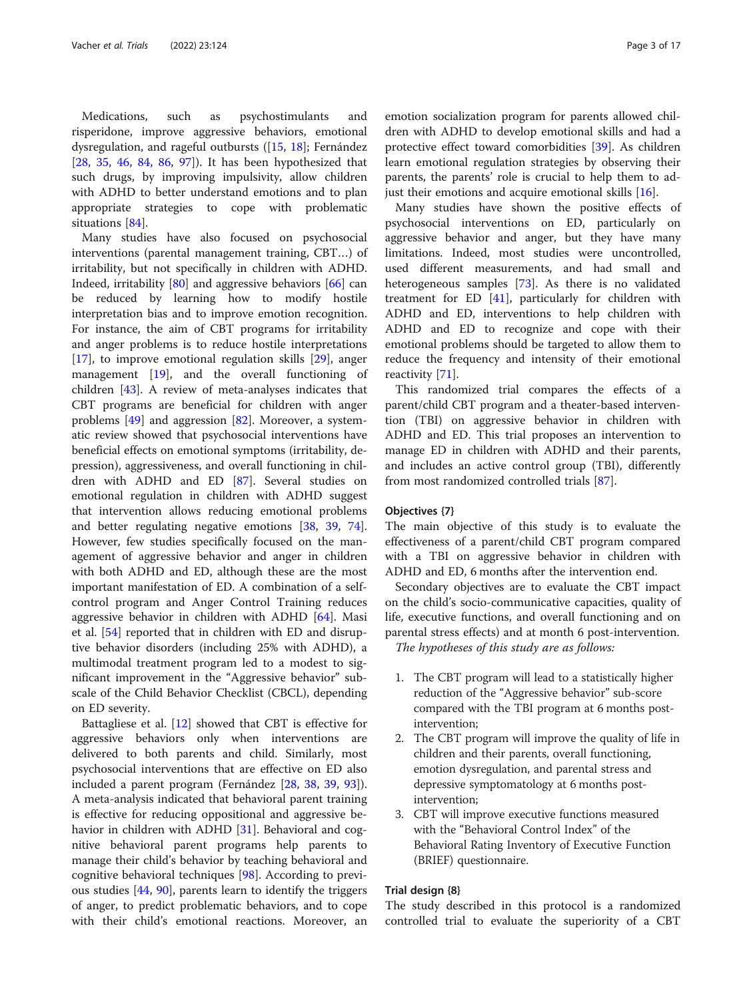Medications, such as psychostimulants and risperidone, improve aggressive behaviors, emotional dysregulation, and rageful outbursts ([\[15](#page-14-0), [18\]](#page-14-0); Fernández [[28,](#page-15-0) [35](#page-15-0), [46](#page-15-0), [84,](#page-16-0) [86](#page-16-0), [97\]](#page-16-0)). It has been hypothesized that such drugs, by improving impulsivity, allow children with ADHD to better understand emotions and to plan appropriate strategies to cope with problematic situations [\[84\]](#page-16-0).

Many studies have also focused on psychosocial interventions (parental management training, CBT…) of irritability, but not specifically in children with ADHD. Indeed, irritability [[80](#page-16-0)] and aggressive behaviors [\[66](#page-16-0)] can be reduced by learning how to modify hostile interpretation bias and to improve emotion recognition. For instance, the aim of CBT programs for irritability and anger problems is to reduce hostile interpretations [[17\]](#page-14-0), to improve emotional regulation skills [\[29](#page-15-0)], anger management [\[19](#page-14-0)], and the overall functioning of children [[43\]](#page-15-0). A review of meta-analyses indicates that CBT programs are beneficial for children with anger problems [[49](#page-15-0)] and aggression [\[82](#page-16-0)]. Moreover, a systematic review showed that psychosocial interventions have beneficial effects on emotional symptoms (irritability, depression), aggressiveness, and overall functioning in children with ADHD and ED [\[87](#page-16-0)]. Several studies on emotional regulation in children with ADHD suggest that intervention allows reducing emotional problems and better regulating negative emotions [[38,](#page-15-0) [39](#page-15-0), [74](#page-16-0)]. However, few studies specifically focused on the management of aggressive behavior and anger in children with both ADHD and ED, although these are the most important manifestation of ED. A combination of a selfcontrol program and Anger Control Training reduces aggressive behavior in children with ADHD [\[64\]](#page-16-0). Masi et al. [\[54](#page-15-0)] reported that in children with ED and disruptive behavior disorders (including 25% with ADHD), a multimodal treatment program led to a modest to significant improvement in the "Aggressive behavior" subscale of the Child Behavior Checklist (CBCL), depending on ED severity.

Battagliese et al. [[12](#page-14-0)] showed that CBT is effective for aggressive behaviors only when interventions are delivered to both parents and child. Similarly, most psychosocial interventions that are effective on ED also included a parent program (Fernández [[28,](#page-15-0) [38,](#page-15-0) [39](#page-15-0), [93](#page-16-0)]). A meta-analysis indicated that behavioral parent training is effective for reducing oppositional and aggressive be-havior in children with ADHD [\[31\]](#page-15-0). Behavioral and cognitive behavioral parent programs help parents to manage their child's behavior by teaching behavioral and cognitive behavioral techniques [[98\]](#page-16-0). According to previous studies [[44](#page-15-0), [90](#page-16-0)], parents learn to identify the triggers of anger, to predict problematic behaviors, and to cope with their child's emotional reactions. Moreover, an

emotion socialization program for parents allowed children with ADHD to develop emotional skills and had a protective effect toward comorbidities [\[39\]](#page-15-0). As children learn emotional regulation strategies by observing their parents, the parents' role is crucial to help them to adjust their emotions and acquire emotional skills [\[16\]](#page-14-0).

Many studies have shown the positive effects of psychosocial interventions on ED, particularly on aggressive behavior and anger, but they have many limitations. Indeed, most studies were uncontrolled, used different measurements, and had small and heterogeneous samples [[73](#page-16-0)]. As there is no validated treatment for ED  $[41]$ , particularly for children with ADHD and ED, interventions to help children with ADHD and ED to recognize and cope with their emotional problems should be targeted to allow them to reduce the frequency and intensity of their emotional reactivity [\[71\]](#page-16-0).

This randomized trial compares the effects of a parent/child CBT program and a theater-based intervention (TBI) on aggressive behavior in children with ADHD and ED. This trial proposes an intervention to manage ED in children with ADHD and their parents, and includes an active control group (TBI), differently from most randomized controlled trials [[87\]](#page-16-0).

#### Objectives {7}

The main objective of this study is to evaluate the effectiveness of a parent/child CBT program compared with a TBI on aggressive behavior in children with ADHD and ED, 6 months after the intervention end.

Secondary objectives are to evaluate the CBT impact on the child's socio-communicative capacities, quality of life, executive functions, and overall functioning and on parental stress effects) and at month 6 post-intervention.

The hypotheses of this study are as follows:

- 1. The CBT program will lead to a statistically higher reduction of the "Aggressive behavior" sub-score compared with the TBI program at 6 months postintervention;
- 2. The CBT program will improve the quality of life in children and their parents, overall functioning, emotion dysregulation, and parental stress and depressive symptomatology at 6 months postintervention;
- 3. CBT will improve executive functions measured with the "Behavioral Control Index" of the Behavioral Rating Inventory of Executive Function (BRIEF) questionnaire.

#### Trial design {8}

The study described in this protocol is a randomized controlled trial to evaluate the superiority of a CBT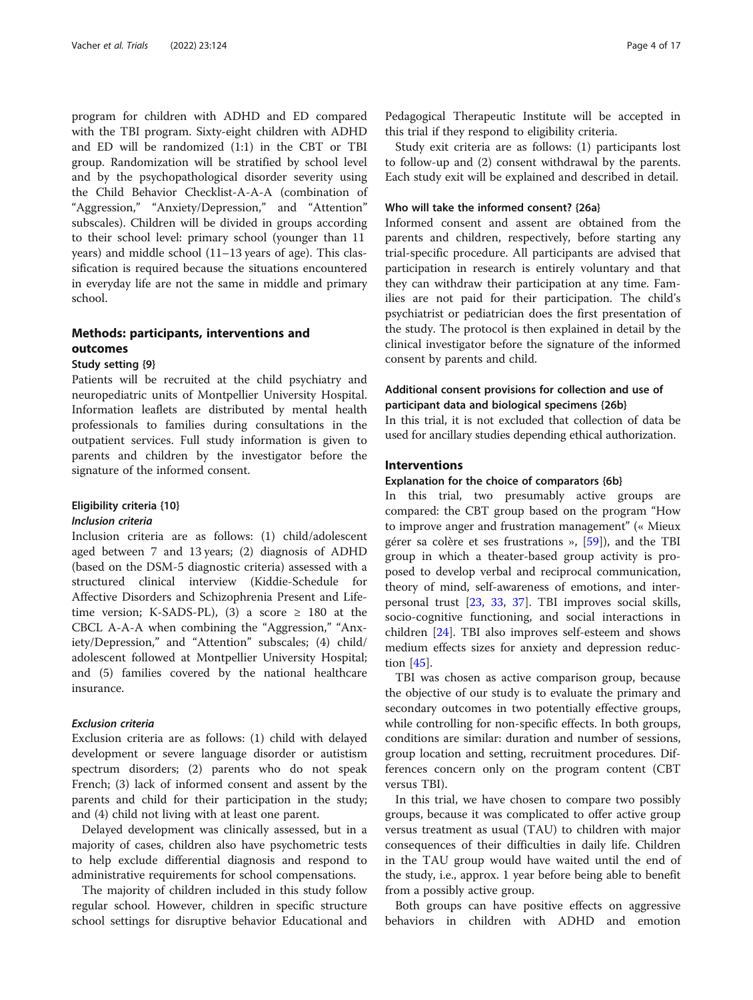program for children with ADHD and ED compared with the TBI program. Sixty-eight children with ADHD and ED will be randomized (1:1) in the CBT or TBI group. Randomization will be stratified by school level and by the psychopathological disorder severity using the Child Behavior Checklist-A-A-A (combination of "Aggression," "Anxiety/Depression," and "Attention" subscales). Children will be divided in groups according to their school level: primary school (younger than 11 years) and middle school (11–13 years of age). This classification is required because the situations encountered in everyday life are not the same in middle and primary school.

# Methods: participants, interventions and outcomes

# Study setting {9}

Patients will be recruited at the child psychiatry and neuropediatric units of Montpellier University Hospital. Information leaflets are distributed by mental health professionals to families during consultations in the outpatient services. Full study information is given to parents and children by the investigator before the signature of the informed consent.

#### Eligibility criteria {10}

#### Inclusion criteria

Inclusion criteria are as follows: (1) child/adolescent aged between 7 and 13 years; (2) diagnosis of ADHD (based on the DSM-5 diagnostic criteria) assessed with a structured clinical interview (Kiddie-Schedule for Affective Disorders and Schizophrenia Present and Lifetime version; K-SADS-PL), (3) a score  $\geq$  180 at the CBCL A-A-A when combining the "Aggression," "Anxiety/Depression," and "Attention" subscales; (4) child/ adolescent followed at Montpellier University Hospital; and (5) families covered by the national healthcare insurance.

## Exclusion criteria

Exclusion criteria are as follows: (1) child with delayed development or severe language disorder or autistism spectrum disorders; (2) parents who do not speak French; (3) lack of informed consent and assent by the parents and child for their participation in the study; and (4) child not living with at least one parent.

Delayed development was clinically assessed, but in a majority of cases, children also have psychometric tests to help exclude differential diagnosis and respond to administrative requirements for school compensations.

The majority of children included in this study follow regular school. However, children in specific structure school settings for disruptive behavior Educational and Pedagogical Therapeutic Institute will be accepted in this trial if they respond to eligibility criteria.

Study exit criteria are as follows: (1) participants lost to follow-up and (2) consent withdrawal by the parents. Each study exit will be explained and described in detail.

#### Who will take the informed consent? {26a}

Informed consent and assent are obtained from the parents and children, respectively, before starting any trial-specific procedure. All participants are advised that participation in research is entirely voluntary and that they can withdraw their participation at any time. Families are not paid for their participation. The child's psychiatrist or pediatrician does the first presentation of the study. The protocol is then explained in detail by the clinical investigator before the signature of the informed consent by parents and child.

# Additional consent provisions for collection and use of participant data and biological specimens {26b}

In this trial, it is not excluded that collection of data be used for ancillary studies depending ethical authorization.

# Interventions

#### Explanation for the choice of comparators {6b}

In this trial, two presumably active groups are compared: the CBT group based on the program "How to improve anger and frustration management" (« Mieux gérer sa colère et ses frustrations », [\[59](#page-15-0)]), and the TBI group in which a theater-based group activity is proposed to develop verbal and reciprocal communication, theory of mind, self-awareness of emotions, and interpersonal trust [[23](#page-15-0), [33](#page-15-0), [37](#page-15-0)]. TBI improves social skills, socio-cognitive functioning, and social interactions in children [\[24](#page-15-0)]. TBI also improves self-esteem and shows medium effects sizes for anxiety and depression reduction [\[45\]](#page-15-0).

TBI was chosen as active comparison group, because the objective of our study is to evaluate the primary and secondary outcomes in two potentially effective groups, while controlling for non-specific effects. In both groups, conditions are similar: duration and number of sessions, group location and setting, recruitment procedures. Differences concern only on the program content (CBT versus TBI).

In this trial, we have chosen to compare two possibly groups, because it was complicated to offer active group versus treatment as usual (TAU) to children with major consequences of their difficulties in daily life. Children in the TAU group would have waited until the end of the study, i.e., approx. 1 year before being able to benefit from a possibly active group.

Both groups can have positive effects on aggressive behaviors in children with ADHD and emotion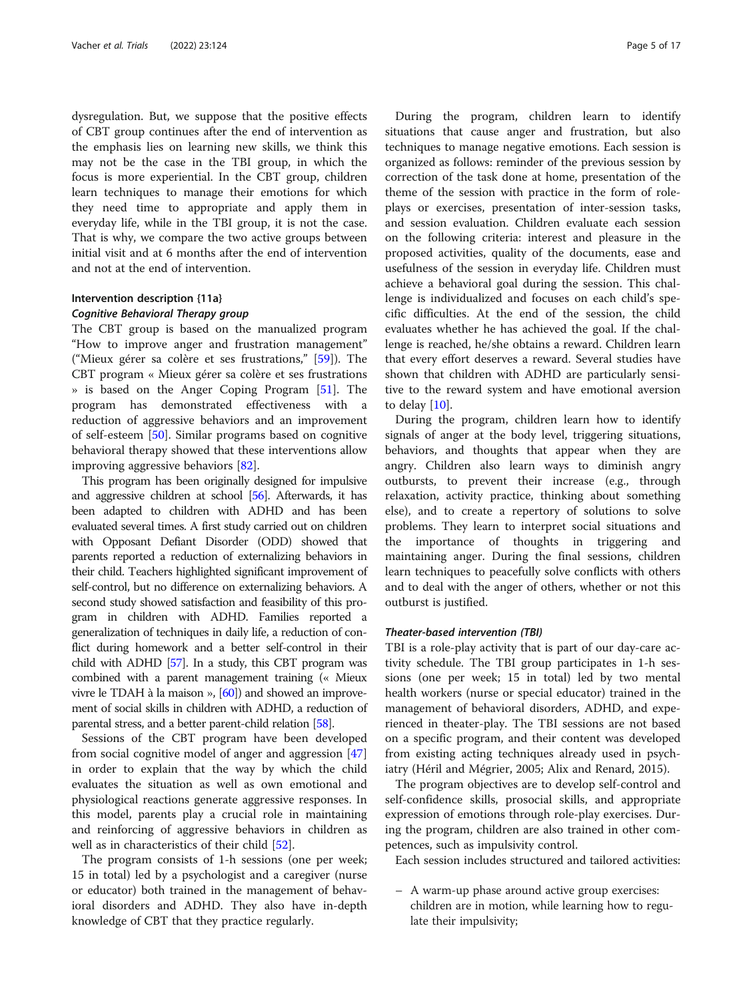dysregulation. But, we suppose that the positive effects of CBT group continues after the end of intervention as the emphasis lies on learning new skills, we think this may not be the case in the TBI group, in which the focus is more experiential. In the CBT group, children learn techniques to manage their emotions for which they need time to appropriate and apply them in everyday life, while in the TBI group, it is not the case. That is why, we compare the two active groups between initial visit and at 6 months after the end of intervention and not at the end of intervention.

# Intervention description {11a} Cognitive Behavioral Therapy group

The CBT group is based on the manualized program "How to improve anger and frustration management" ("Mieux gérer sa colère et ses frustrations," [\[59](#page-15-0)]). The CBT program « Mieux gérer sa colère et ses frustrations » is based on the Anger Coping Program [\[51](#page-15-0)]. The program has demonstrated effectiveness with a reduction of aggressive behaviors and an improvement of self-esteem [\[50](#page-15-0)]. Similar programs based on cognitive behavioral therapy showed that these interventions allow improving aggressive behaviors [\[82](#page-16-0)].

This program has been originally designed for impulsive and aggressive children at school [[56\]](#page-15-0). Afterwards, it has been adapted to children with ADHD and has been evaluated several times. A first study carried out on children with Opposant Defiant Disorder (ODD) showed that parents reported a reduction of externalizing behaviors in their child. Teachers highlighted significant improvement of self-control, but no difference on externalizing behaviors. A second study showed satisfaction and feasibility of this program in children with ADHD. Families reported a generalization of techniques in daily life, a reduction of conflict during homework and a better self-control in their child with ADHD [[57](#page-15-0)]. In a study, this CBT program was combined with a parent management training (« Mieux vivre le TDAH à la maison », [\[60](#page-15-0)]) and showed an improvement of social skills in children with ADHD, a reduction of parental stress, and a better parent-child relation [\[58\]](#page-15-0).

Sessions of the CBT program have been developed from social cognitive model of anger and aggression [[47](#page-15-0)] in order to explain that the way by which the child evaluates the situation as well as own emotional and physiological reactions generate aggressive responses. In this model, parents play a crucial role in maintaining and reinforcing of aggressive behaviors in children as well as in characteristics of their child [\[52](#page-15-0)].

The program consists of 1-h sessions (one per week; 15 in total) led by a psychologist and a caregiver (nurse or educator) both trained in the management of behavioral disorders and ADHD. They also have in-depth knowledge of CBT that they practice regularly.

During the program, children learn to identify situations that cause anger and frustration, but also techniques to manage negative emotions. Each session is organized as follows: reminder of the previous session by correction of the task done at home, presentation of the theme of the session with practice in the form of roleplays or exercises, presentation of inter-session tasks, and session evaluation. Children evaluate each session on the following criteria: interest and pleasure in the proposed activities, quality of the documents, ease and usefulness of the session in everyday life. Children must achieve a behavioral goal during the session. This challenge is individualized and focuses on each child's specific difficulties. At the end of the session, the child evaluates whether he has achieved the goal. If the challenge is reached, he/she obtains a reward. Children learn that every effort deserves a reward. Several studies have shown that children with ADHD are particularly sensitive to the reward system and have emotional aversion to delay  $[10]$ .

During the program, children learn how to identify signals of anger at the body level, triggering situations, behaviors, and thoughts that appear when they are angry. Children also learn ways to diminish angry outbursts, to prevent their increase (e.g., through relaxation, activity practice, thinking about something else), and to create a repertory of solutions to solve problems. They learn to interpret social situations and the importance of thoughts in triggering and maintaining anger. During the final sessions, children learn techniques to peacefully solve conflicts with others and to deal with the anger of others, whether or not this outburst is justified.

#### Theater-based intervention (TBI)

TBI is a role-play activity that is part of our day-care activity schedule. The TBI group participates in 1-h sessions (one per week; 15 in total) led by two mental health workers (nurse or special educator) trained in the management of behavioral disorders, ADHD, and experienced in theater-play. The TBI sessions are not based on a specific program, and their content was developed from existing acting techniques already used in psychiatry (Héril and Mégrier, 2005; Alix and Renard, 2015).

The program objectives are to develop self-control and self-confidence skills, prosocial skills, and appropriate expression of emotions through role-play exercises. During the program, children are also trained in other competences, such as impulsivity control.

Each session includes structured and tailored activities:

– A warm-up phase around active group exercises: children are in motion, while learning how to regulate their impulsivity;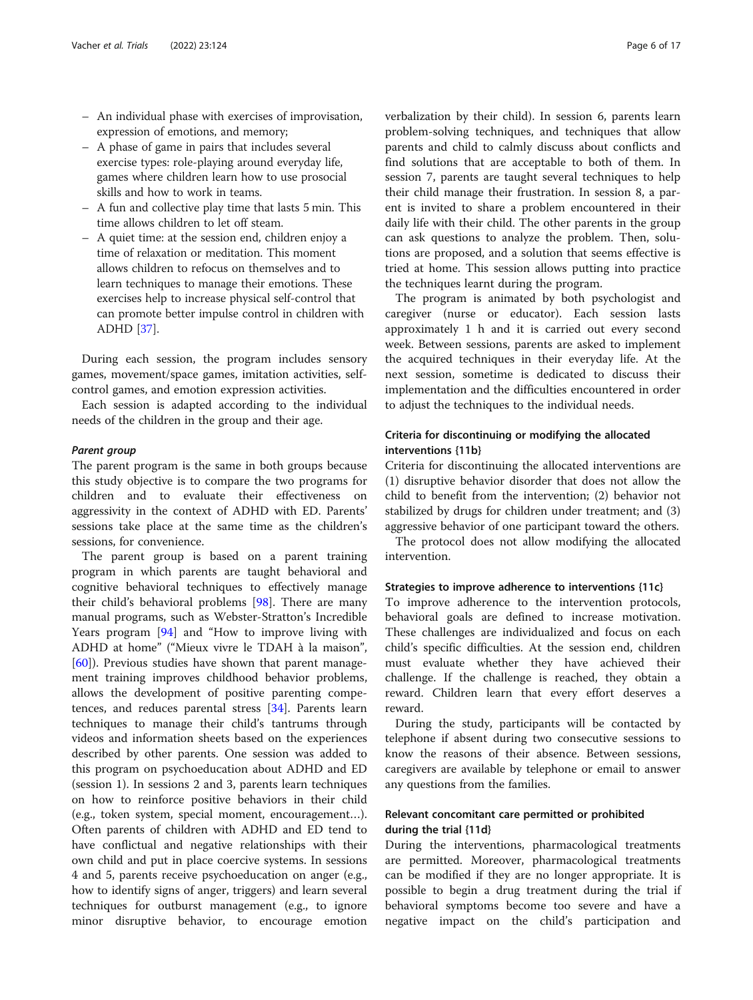- An individual phase with exercises of improvisation, expression of emotions, and memory;
- A phase of game in pairs that includes several exercise types: role-playing around everyday life, games where children learn how to use prosocial skills and how to work in teams.
- A fun and collective play time that lasts 5 min. This time allows children to let off steam.
- A quiet time: at the session end, children enjoy a time of relaxation or meditation. This moment allows children to refocus on themselves and to learn techniques to manage their emotions. These exercises help to increase physical self-control that can promote better impulse control in children with ADHD [\[37\]](#page-15-0).

During each session, the program includes sensory games, movement/space games, imitation activities, selfcontrol games, and emotion expression activities.

Each session is adapted according to the individual needs of the children in the group and their age.

#### Parent group

The parent program is the same in both groups because this study objective is to compare the two programs for children and to evaluate their effectiveness on aggressivity in the context of ADHD with ED. Parents' sessions take place at the same time as the children's sessions, for convenience.

The parent group is based on a parent training program in which parents are taught behavioral and cognitive behavioral techniques to effectively manage their child's behavioral problems [[98\]](#page-16-0). There are many manual programs, such as Webster-Stratton's Incredible Years program [\[94](#page-16-0)] and "How to improve living with ADHD at home" ("Mieux vivre le TDAH à la maison", [[60\]](#page-15-0)). Previous studies have shown that parent management training improves childhood behavior problems, allows the development of positive parenting competences, and reduces parental stress [[34](#page-15-0)]. Parents learn techniques to manage their child's tantrums through videos and information sheets based on the experiences described by other parents. One session was added to this program on psychoeducation about ADHD and ED (session 1). In sessions 2 and 3, parents learn techniques on how to reinforce positive behaviors in their child (e.g., token system, special moment, encouragement…). Often parents of children with ADHD and ED tend to have conflictual and negative relationships with their own child and put in place coercive systems. In sessions 4 and 5, parents receive psychoeducation on anger (e.g., how to identify signs of anger, triggers) and learn several techniques for outburst management (e.g., to ignore minor disruptive behavior, to encourage emotion verbalization by their child). In session 6, parents learn problem-solving techniques, and techniques that allow parents and child to calmly discuss about conflicts and find solutions that are acceptable to both of them. In session 7, parents are taught several techniques to help their child manage their frustration. In session 8, a parent is invited to share a problem encountered in their daily life with their child. The other parents in the group can ask questions to analyze the problem. Then, solutions are proposed, and a solution that seems effective is tried at home. This session allows putting into practice the techniques learnt during the program.

The program is animated by both psychologist and caregiver (nurse or educator). Each session lasts approximately 1 h and it is carried out every second week. Between sessions, parents are asked to implement the acquired techniques in their everyday life. At the next session, sometime is dedicated to discuss their implementation and the difficulties encountered in order to adjust the techniques to the individual needs.

# Criteria for discontinuing or modifying the allocated interventions {11b}

Criteria for discontinuing the allocated interventions are (1) disruptive behavior disorder that does not allow the child to benefit from the intervention; (2) behavior not stabilized by drugs for children under treatment; and (3) aggressive behavior of one participant toward the others.

The protocol does not allow modifying the allocated intervention.

#### Strategies to improve adherence to interventions {11c}

To improve adherence to the intervention protocols, behavioral goals are defined to increase motivation. These challenges are individualized and focus on each child's specific difficulties. At the session end, children must evaluate whether they have achieved their challenge. If the challenge is reached, they obtain a reward. Children learn that every effort deserves a reward.

During the study, participants will be contacted by telephone if absent during two consecutive sessions to know the reasons of their absence. Between sessions, caregivers are available by telephone or email to answer any questions from the families.

# Relevant concomitant care permitted or prohibited during the trial {11d}

During the interventions, pharmacological treatments are permitted. Moreover, pharmacological treatments can be modified if they are no longer appropriate. It is possible to begin a drug treatment during the trial if behavioral symptoms become too severe and have a negative impact on the child's participation and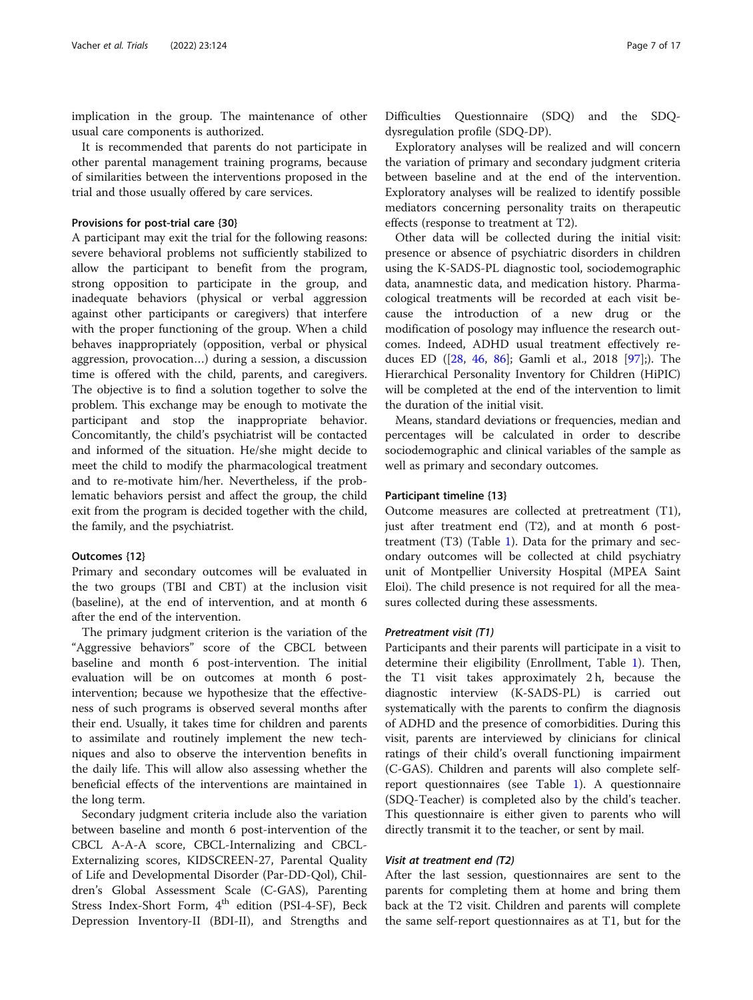implication in the group. The maintenance of other usual care components is authorized.

It is recommended that parents do not participate in other parental management training programs, because of similarities between the interventions proposed in the trial and those usually offered by care services.

#### Provisions for post-trial care {30}

A participant may exit the trial for the following reasons: severe behavioral problems not sufficiently stabilized to allow the participant to benefit from the program, strong opposition to participate in the group, and inadequate behaviors (physical or verbal aggression against other participants or caregivers) that interfere with the proper functioning of the group. When a child behaves inappropriately (opposition, verbal or physical aggression, provocation…) during a session, a discussion time is offered with the child, parents, and caregivers. The objective is to find a solution together to solve the problem. This exchange may be enough to motivate the participant and stop the inappropriate behavior. Concomitantly, the child's psychiatrist will be contacted and informed of the situation. He/she might decide to meet the child to modify the pharmacological treatment and to re-motivate him/her. Nevertheless, if the problematic behaviors persist and affect the group, the child exit from the program is decided together with the child, the family, and the psychiatrist.

#### Outcomes {12}

Primary and secondary outcomes will be evaluated in the two groups (TBI and CBT) at the inclusion visit (baseline), at the end of intervention, and at month 6 after the end of the intervention.

The primary judgment criterion is the variation of the "Aggressive behaviors" score of the CBCL between baseline and month 6 post-intervention. The initial evaluation will be on outcomes at month 6 postintervention; because we hypothesize that the effectiveness of such programs is observed several months after their end. Usually, it takes time for children and parents to assimilate and routinely implement the new techniques and also to observe the intervention benefits in the daily life. This will allow also assessing whether the beneficial effects of the interventions are maintained in the long term.

Secondary judgment criteria include also the variation between baseline and month 6 post-intervention of the CBCL A-A-A score, CBCL-Internalizing and CBCL-Externalizing scores, KIDSCREEN-27, Parental Quality of Life and Developmental Disorder (Par-DD-Qol), Children's Global Assessment Scale (C-GAS), Parenting Stress Index-Short Form,  $4<sup>th</sup>$  edition (PSI-4-SF), Beck Depression Inventory-II (BDI-II), and Strengths and

Difficulties Questionnaire (SDQ) and the SDQdysregulation profile (SDQ-DP).

Exploratory analyses will be realized and will concern the variation of primary and secondary judgment criteria between baseline and at the end of the intervention. Exploratory analyses will be realized to identify possible mediators concerning personality traits on therapeutic effects (response to treatment at T2).

Other data will be collected during the initial visit: presence or absence of psychiatric disorders in children using the K-SADS-PL diagnostic tool, sociodemographic data, anamnestic data, and medication history. Pharmacological treatments will be recorded at each visit because the introduction of a new drug or the modification of posology may influence the research outcomes. Indeed, ADHD usual treatment effectively reduces ED ([[28,](#page-15-0) [46](#page-15-0), [86](#page-16-0)]; Gamli et al., 2018 [[97\]](#page-16-0);). The Hierarchical Personality Inventory for Children (HiPIC) will be completed at the end of the intervention to limit the duration of the initial visit.

Means, standard deviations or frequencies, median and percentages will be calculated in order to describe sociodemographic and clinical variables of the sample as well as primary and secondary outcomes.

#### Participant timeline {13}

Outcome measures are collected at pretreatment (T1), just after treatment end (T2), and at month 6 posttreatment (T3) (Table [1\)](#page-7-0). Data for the primary and secondary outcomes will be collected at child psychiatry unit of Montpellier University Hospital (MPEA Saint Eloi). The child presence is not required for all the measures collected during these assessments.

#### Pretreatment visit (T1)

Participants and their parents will participate in a visit to determine their eligibility (Enrollment, Table [1\)](#page-7-0). Then, the T1 visit takes approximately 2 h, because the diagnostic interview (K-SADS-PL) is carried out systematically with the parents to confirm the diagnosis of ADHD and the presence of comorbidities. During this visit, parents are interviewed by clinicians for clinical ratings of their child's overall functioning impairment (C-GAS). Children and parents will also complete selfreport questionnaires (see Table [1](#page-7-0)). A questionnaire (SDQ-Teacher) is completed also by the child's teacher. This questionnaire is either given to parents who will directly transmit it to the teacher, or sent by mail.

#### Visit at treatment end (T2)

After the last session, questionnaires are sent to the parents for completing them at home and bring them back at the T2 visit. Children and parents will complete the same self-report questionnaires as at T1, but for the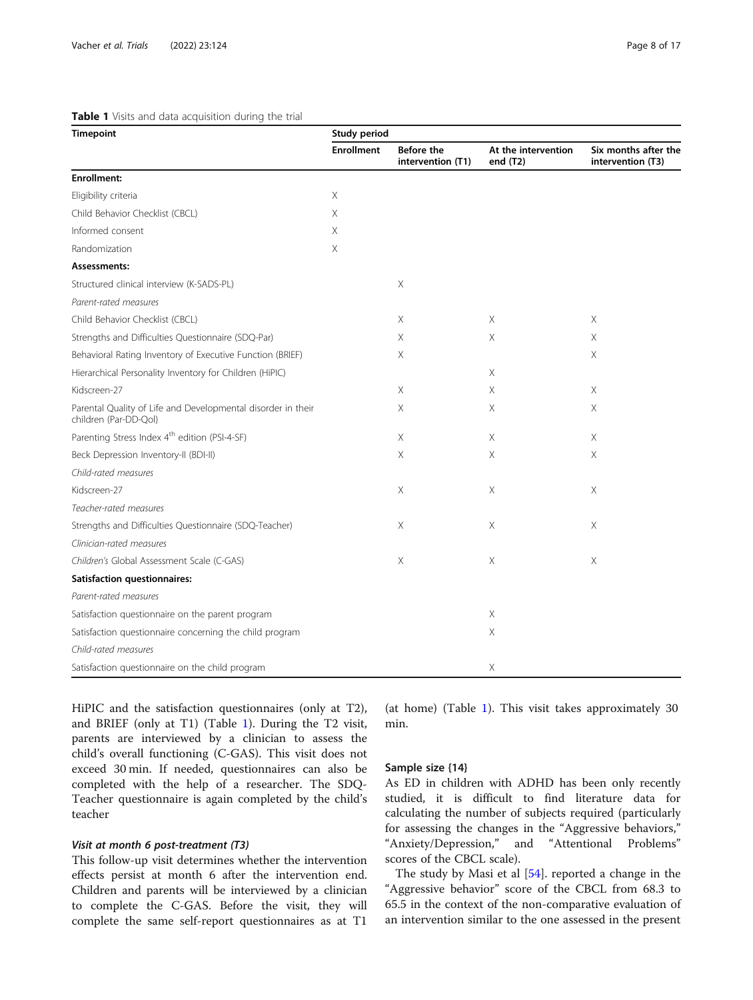#### <span id="page-7-0"></span>Table 1 Visits and data acquisition during the trial

| <b>Timepoint</b>                                                                      | <b>Study period</b> |                                 |                                   |                                           |
|---------------------------------------------------------------------------------------|---------------------|---------------------------------|-----------------------------------|-------------------------------------------|
|                                                                                       | <b>Enrollment</b>   | Before the<br>intervention (T1) | At the intervention<br>end $(T2)$ | Six months after the<br>intervention (T3) |
| <b>Enrollment:</b>                                                                    |                     |                                 |                                   |                                           |
| Eligibility criteria                                                                  | X                   |                                 |                                   |                                           |
| Child Behavior Checklist (CBCL)                                                       | Χ                   |                                 |                                   |                                           |
| Informed consent                                                                      | X                   |                                 |                                   |                                           |
| Randomization                                                                         | Χ                   |                                 |                                   |                                           |
| Assessments:                                                                          |                     |                                 |                                   |                                           |
| Structured clinical interview (K-SADS-PL)                                             |                     | Χ                               |                                   |                                           |
| Parent-rated measures                                                                 |                     |                                 |                                   |                                           |
| Child Behavior Checklist (CBCL)                                                       |                     | Χ                               | Χ                                 | Χ                                         |
| Strengths and Difficulties Questionnaire (SDQ-Par)                                    |                     | Χ                               | Χ                                 | Χ                                         |
| Behavioral Rating Inventory of Executive Function (BRIEF)                             |                     | Χ                               |                                   | Χ                                         |
| Hierarchical Personality Inventory for Children (HiPIC)                               |                     |                                 | X                                 |                                           |
| Kidscreen-27                                                                          |                     | Χ                               | Χ                                 | Χ                                         |
| Parental Quality of Life and Developmental disorder in their<br>children (Par-DD-Qol) |                     | Χ                               | X                                 | Χ                                         |
| Parenting Stress Index 4 <sup>th</sup> edition (PSI-4-SF)                             |                     | Χ                               | X                                 | Χ                                         |
| Beck Depression Inventory-II (BDI-II)                                                 |                     | X                               | X                                 | X                                         |
| Child-rated measures                                                                  |                     |                                 |                                   |                                           |
| Kidscreen-27                                                                          |                     | X                               | X                                 | Χ                                         |
| Teacher-rated measures                                                                |                     |                                 |                                   |                                           |
| Strengths and Difficulties Questionnaire (SDQ-Teacher)                                |                     | Χ                               | Χ                                 | Χ                                         |
| Clinician-rated measures                                                              |                     |                                 |                                   |                                           |
| Children's Global Assessment Scale (C-GAS)                                            |                     | Χ                               | Χ                                 | Χ                                         |
| <b>Satisfaction questionnaires:</b>                                                   |                     |                                 |                                   |                                           |
| Parent-rated measures                                                                 |                     |                                 |                                   |                                           |
| Satisfaction questionnaire on the parent program                                      |                     |                                 | $\mathsf X$                       |                                           |
| Satisfaction questionnaire concerning the child program                               |                     |                                 | X                                 |                                           |
| Child-rated measures                                                                  |                     |                                 |                                   |                                           |
| Satisfaction questionnaire on the child program                                       |                     |                                 | Χ                                 |                                           |

HiPIC and the satisfaction questionnaires (only at T2), and BRIEF (only at T1) (Table 1). During the T2 visit, parents are interviewed by a clinician to assess the child's overall functioning (C-GAS). This visit does not exceed 30 min. If needed, questionnaires can also be completed with the help of a researcher. The SDQ-Teacher questionnaire is again completed by the child's teacher

#### Visit at month 6 post-treatment (T3)

This follow-up visit determines whether the intervention effects persist at month 6 after the intervention end. Children and parents will be interviewed by a clinician to complete the C-GAS. Before the visit, they will complete the same self-report questionnaires as at T1

(at home) (Table 1). This visit takes approximately 30 min.

# Sample size {14}

As ED in children with ADHD has been only recently studied, it is difficult to find literature data for calculating the number of subjects required (particularly for assessing the changes in the "Aggressive behaviors," "Anxiety/Depression," and "Attentional Problems" scores of the CBCL scale).

The study by Masi et al [[54\]](#page-15-0). reported a change in the "Aggressive behavior" score of the CBCL from 68.3 to 65.5 in the context of the non-comparative evaluation of an intervention similar to the one assessed in the present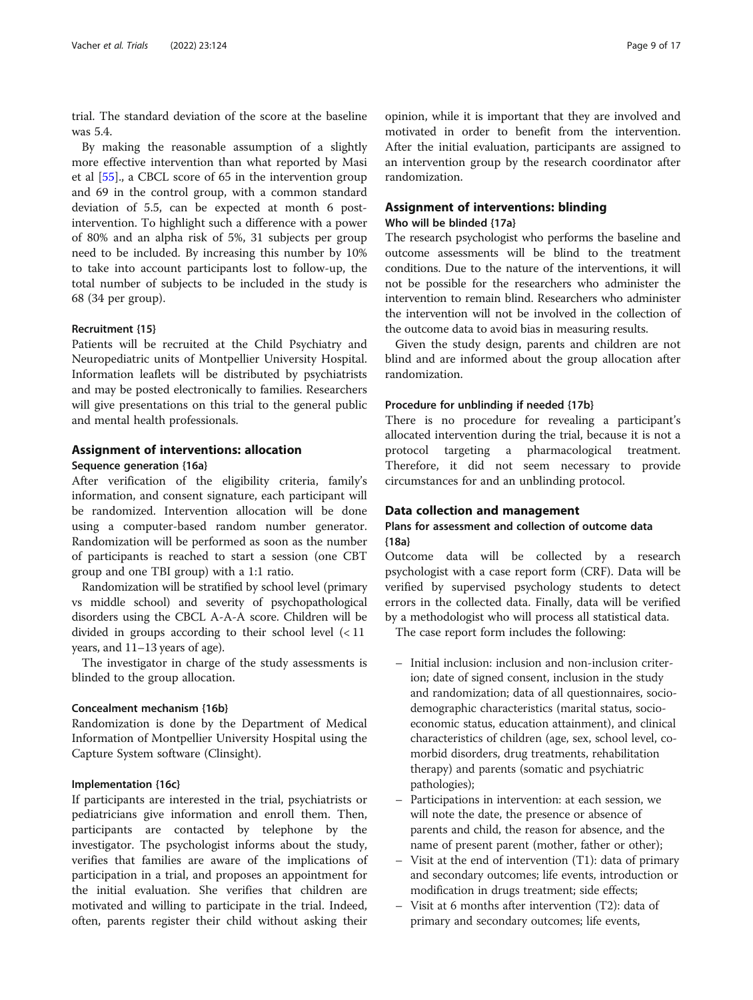trial. The standard deviation of the score at the baseline was 5.4.

By making the reasonable assumption of a slightly more effective intervention than what reported by Masi et al [[55\]](#page-15-0)., a CBCL score of 65 in the intervention group and 69 in the control group, with a common standard deviation of 5.5, can be expected at month 6 postintervention. To highlight such a difference with a power of 80% and an alpha risk of 5%, 31 subjects per group need to be included. By increasing this number by 10% to take into account participants lost to follow-up, the total number of subjects to be included in the study is 68 (34 per group).

#### Recruitment {15}

Patients will be recruited at the Child Psychiatry and Neuropediatric units of Montpellier University Hospital. Information leaflets will be distributed by psychiatrists and may be posted electronically to families. Researchers will give presentations on this trial to the general public and mental health professionals.

# Assignment of interventions: allocation

#### Sequence generation {16a}

After verification of the eligibility criteria, family's information, and consent signature, each participant will be randomized. Intervention allocation will be done using a computer-based random number generator. Randomization will be performed as soon as the number of participants is reached to start a session (one CBT group and one TBI group) with a 1:1 ratio.

Randomization will be stratified by school level (primary vs middle school) and severity of psychopathological disorders using the CBCL A-A-A score. Children will be divided in groups according to their school level (< 11 years, and 11–13 years of age).

The investigator in charge of the study assessments is blinded to the group allocation.

## Concealment mechanism {16b}

Randomization is done by the Department of Medical Information of Montpellier University Hospital using the Capture System software (Clinsight).

# Implementation {16c}

If participants are interested in the trial, psychiatrists or pediatricians give information and enroll them. Then, participants are contacted by telephone by the investigator. The psychologist informs about the study, verifies that families are aware of the implications of participation in a trial, and proposes an appointment for the initial evaluation. She verifies that children are motivated and willing to participate in the trial. Indeed, often, parents register their child without asking their

# Assignment of interventions: blinding

# Who will be blinded {17a}

The research psychologist who performs the baseline and outcome assessments will be blind to the treatment conditions. Due to the nature of the interventions, it will not be possible for the researchers who administer the intervention to remain blind. Researchers who administer the intervention will not be involved in the collection of the outcome data to avoid bias in measuring results.

Given the study design, parents and children are not blind and are informed about the group allocation after randomization.

#### Procedure for unblinding if needed {17b}

There is no procedure for revealing a participant's allocated intervention during the trial, because it is not a protocol targeting a pharmacological treatment. Therefore, it did not seem necessary to provide circumstances for and an unblinding protocol.

## Data collection and management

# Plans for assessment and collection of outcome data {18a}

Outcome data will be collected by a research psychologist with a case report form (CRF). Data will be verified by supervised psychology students to detect errors in the collected data. Finally, data will be verified by a methodologist who will process all statistical data.

The case report form includes the following:

- Initial inclusion: inclusion and non-inclusion criterion; date of signed consent, inclusion in the study and randomization; data of all questionnaires, sociodemographic characteristics (marital status, socioeconomic status, education attainment), and clinical characteristics of children (age, sex, school level, comorbid disorders, drug treatments, rehabilitation therapy) and parents (somatic and psychiatric pathologies);
- Participations in intervention: at each session, we will note the date, the presence or absence of parents and child, the reason for absence, and the name of present parent (mother, father or other);
- Visit at the end of intervention (T1): data of primary and secondary outcomes; life events, introduction or modification in drugs treatment; side effects;
- Visit at 6 months after intervention (T2): data of primary and secondary outcomes; life events,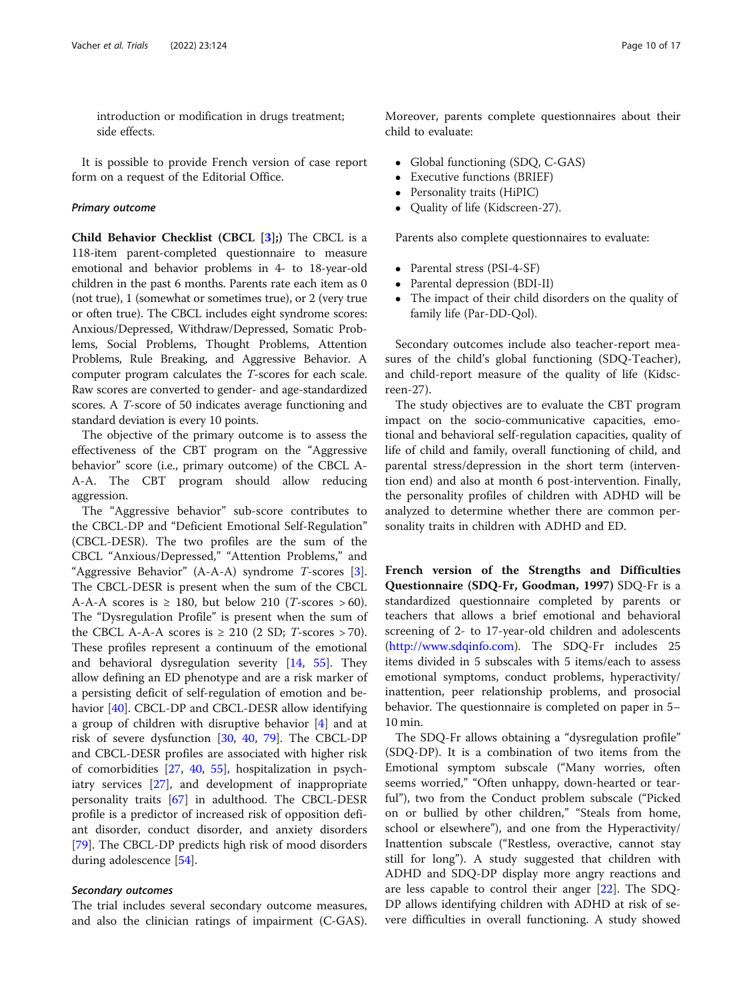introduction or modification in drugs treatment; side effects.

It is possible to provide French version of case report form on a request of the Editorial Office.

#### Primary outcome

Child Behavior Checklist (CBCL  $[3]$ ;) The CBCL is a 118-item parent-completed questionnaire to measure emotional and behavior problems in 4- to 18-year-old children in the past 6 months. Parents rate each item as 0 (not true), 1 (somewhat or sometimes true), or 2 (very true or often true). The CBCL includes eight syndrome scores: Anxious/Depressed, Withdraw/Depressed, Somatic Problems, Social Problems, Thought Problems, Attention Problems, Rule Breaking, and Aggressive Behavior. A computer program calculates the T-scores for each scale. Raw scores are converted to gender- and age-standardized scores. A T-score of 50 indicates average functioning and standard deviation is every 10 points.

The objective of the primary outcome is to assess the effectiveness of the CBT program on the "Aggressive behavior" score (i.e., primary outcome) of the CBCL A-A-A. The CBT program should allow reducing aggression.

The "Aggressive behavior" sub-score contributes to the CBCL-DP and "Deficient Emotional Self-Regulation" (CBCL-DESR). The two profiles are the sum of the CBCL "Anxious/Depressed," "Attention Problems," and "Aggressive Behavior" (A-A-A) syndrome T-scores [\[3](#page-14-0)]. The CBCL-DESR is present when the sum of the CBCL A-A-A scores is  $\geq$  180, but below 210 (*T*-scores  $> 60$ ). The "Dysregulation Profile" is present when the sum of the CBCL A-A-A scores is  $\geq$  210 (2 SD; *T*-scores > 70). These profiles represent a continuum of the emotional and behavioral dysregulation severity [\[14](#page-14-0), [55\]](#page-15-0). They allow defining an ED phenotype and are a risk marker of a persisting deficit of self-regulation of emotion and behavior [\[40](#page-15-0)]. CBCL-DP and CBCL-DESR allow identifying a group of children with disruptive behavior [[4\]](#page-14-0) and at risk of severe dysfunction [[30,](#page-15-0) [40,](#page-15-0) [79](#page-16-0)]. The CBCL-DP and CBCL-DESR profiles are associated with higher risk of comorbidities [\[27](#page-15-0), [40,](#page-15-0) [55\]](#page-15-0), hospitalization in psychiatry services [\[27](#page-15-0)], and development of inappropriate personality traits [\[67\]](#page-16-0) in adulthood. The CBCL-DESR profile is a predictor of increased risk of opposition defiant disorder, conduct disorder, and anxiety disorders [[79\]](#page-16-0). The CBCL-DP predicts high risk of mood disorders during adolescence [\[54\]](#page-15-0).

#### Secondary outcomes

The trial includes several secondary outcome measures, and also the clinician ratings of impairment (C-GAS).

- Global functioning (SDQ, C-GAS)<br>• Executive functions (BRIEF)
- Executive functions (BRIEF)
- Personality traits (HiPIC)

child to evaluate:

Quality of life (Kidscreen-27).

Parents also complete questionnaires to evaluate:

- Parental stress (PSI-4-SF)<br>• Parental depression (BDI-
- Parental depression (BDI-II)
- The impact of their child disorders on the quality of family life (Par-DD-Qol).

Secondary outcomes include also teacher-report measures of the child's global functioning (SDQ-Teacher), and child-report measure of the quality of life (Kidscreen-27).

The study objectives are to evaluate the CBT program impact on the socio-communicative capacities, emotional and behavioral self-regulation capacities, quality of life of child and family, overall functioning of child, and parental stress/depression in the short term (intervention end) and also at month 6 post-intervention. Finally, the personality profiles of children with ADHD will be analyzed to determine whether there are common personality traits in children with ADHD and ED.

French version of the Strengths and Difficulties Questionnaire (SDQ-Fr, Goodman, 1997) SDQ-Fr is a standardized questionnaire completed by parents or teachers that allows a brief emotional and behavioral screening of 2- to 17-year-old children and adolescents ([http://www.sdqinfo.com\)](http://www.sdqinfo.com). The SDQ-Fr includes 25 items divided in 5 subscales with 5 items/each to assess emotional symptoms, conduct problems, hyperactivity/ inattention, peer relationship problems, and prosocial behavior. The questionnaire is completed on paper in 5– 10 min.

The SDQ-Fr allows obtaining a "dysregulation profile" (SDQ-DP). It is a combination of two items from the Emotional symptom subscale ("Many worries, often seems worried," "Often unhappy, down-hearted or tearful"), two from the Conduct problem subscale ("Picked on or bullied by other children," "Steals from home, school or elsewhere"), and one from the Hyperactivity/ Inattention subscale ("Restless, overactive, cannot stay still for long"). A study suggested that children with ADHD and SDQ-DP display more angry reactions and are less capable to control their anger [\[22\]](#page-14-0). The SDQ-DP allows identifying children with ADHD at risk of severe difficulties in overall functioning. A study showed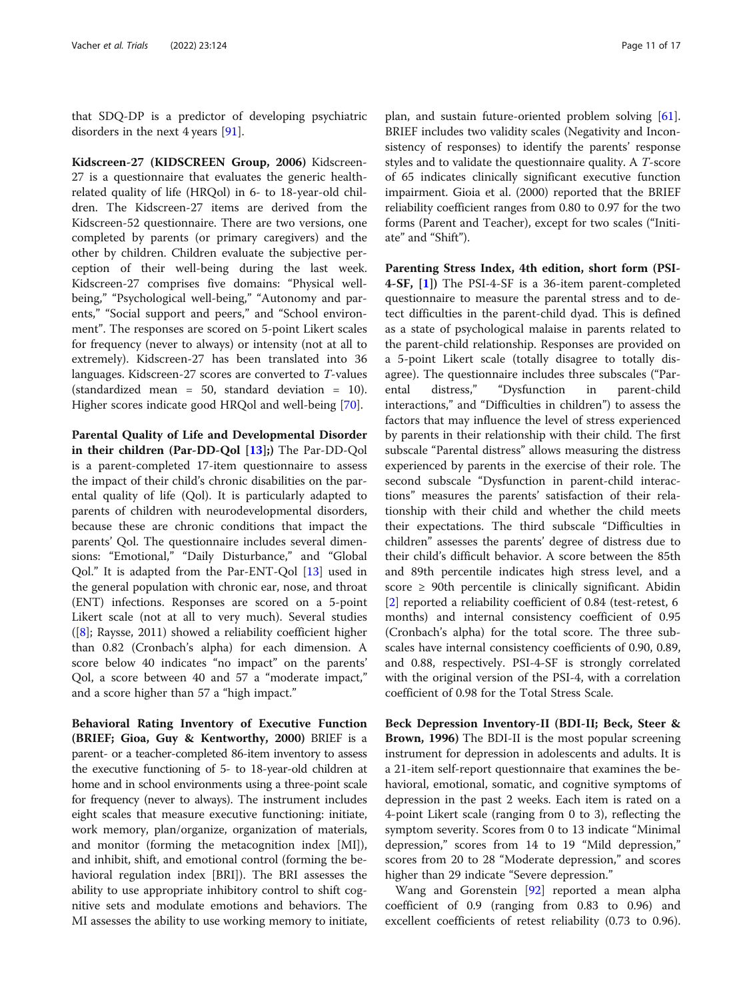that SDQ-DP is a predictor of developing psychiatric disorders in the next 4 years [\[91\]](#page-16-0).

Kidscreen-27 (KIDSCREEN Group, 2006) Kidscreen-27 is a questionnaire that evaluates the generic healthrelated quality of life (HRQol) in 6- to 18-year-old children. The Kidscreen-27 items are derived from the Kidscreen-52 questionnaire. There are two versions, one completed by parents (or primary caregivers) and the other by children. Children evaluate the subjective perception of their well-being during the last week. Kidscreen-27 comprises five domains: "Physical wellbeing," "Psychological well-being," "Autonomy and parents," "Social support and peers," and "School environment". The responses are scored on 5-point Likert scales for frequency (never to always) or intensity (not at all to extremely). Kidscreen-27 has been translated into 36 languages. Kidscreen-27 scores are converted to T-values (standardized mean = 50, standard deviation = 10). Higher scores indicate good HRQol and well-being [\[70\]](#page-16-0).

Parental Quality of Life and Developmental Disorder in their children (Par-DD-Qol  $[13]$ ;) The Par-DD-Qol is a parent-completed 17-item questionnaire to assess the impact of their child's chronic disabilities on the parental quality of life (Qol). It is particularly adapted to parents of children with neurodevelopmental disorders, because these are chronic conditions that impact the parents' Qol. The questionnaire includes several dimensions: "Emotional," "Daily Disturbance," and "Global Qol." It is adapted from the Par-ENT-Qol [[13\]](#page-14-0) used in the general population with chronic ear, nose, and throat (ENT) infections. Responses are scored on a 5-point Likert scale (not at all to very much). Several studies  $([8]$  $([8]$ ; Raysse, 2011) showed a reliability coefficient higher than 0.82 (Cronbach's alpha) for each dimension. A score below 40 indicates "no impact" on the parents' Qol, a score between 40 and 57 a "moderate impact," and a score higher than 57 a "high impact."

Behavioral Rating Inventory of Executive Function (BRIEF; Gioa, Guy & Kentworthy, 2000) BRIEF is a parent- or a teacher-completed 86-item inventory to assess the executive functioning of 5- to 18-year-old children at home and in school environments using a three-point scale for frequency (never to always). The instrument includes eight scales that measure executive functioning: initiate, work memory, plan/organize, organization of materials, and monitor (forming the metacognition index [MI]), and inhibit, shift, and emotional control (forming the behavioral regulation index [BRI]). The BRI assesses the ability to use appropriate inhibitory control to shift cognitive sets and modulate emotions and behaviors. The MI assesses the ability to use working memory to initiate,

plan, and sustain future-oriented problem solving [\[61](#page-16-0)]. BRIEF includes two validity scales (Negativity and Inconsistency of responses) to identify the parents' response styles and to validate the questionnaire quality. A T-score of 65 indicates clinically significant executive function impairment. Gioia et al. (2000) reported that the BRIEF reliability coefficient ranges from 0.80 to 0.97 for the two forms (Parent and Teacher), except for two scales ("Initiate" and "Shift").

Parenting Stress Index, 4th edition, short form (PSI-4-SF, [\[1\]](#page-14-0)) The PSI-4-SF is a 36-item parent-completed questionnaire to measure the parental stress and to detect difficulties in the parent-child dyad. This is defined as a state of psychological malaise in parents related to the parent-child relationship. Responses are provided on a 5-point Likert scale (totally disagree to totally disagree). The questionnaire includes three subscales ("Parental distress," "Dysfunction in parent-child interactions," and "Difficulties in children") to assess the factors that may influence the level of stress experienced by parents in their relationship with their child. The first subscale "Parental distress" allows measuring the distress experienced by parents in the exercise of their role. The second subscale "Dysfunction in parent-child interactions" measures the parents' satisfaction of their relationship with their child and whether the child meets their expectations. The third subscale "Difficulties in children" assesses the parents' degree of distress due to their child's difficult behavior. A score between the 85th and 89th percentile indicates high stress level, and a score  $\geq$  90th percentile is clinically significant. Abidin [[2\]](#page-14-0) reported a reliability coefficient of 0.84 (test-retest, 6 months) and internal consistency coefficient of 0.95 (Cronbach's alpha) for the total score. The three subscales have internal consistency coefficients of 0.90, 0.89, and 0.88, respectively. PSI-4-SF is strongly correlated with the original version of the PSI-4, with a correlation coefficient of 0.98 for the Total Stress Scale.

Beck Depression Inventory-II (BDI-II; Beck, Steer & Brown, 1996) The BDI-II is the most popular screening instrument for depression in adolescents and adults. It is a 21-item self-report questionnaire that examines the behavioral, emotional, somatic, and cognitive symptoms of depression in the past 2 weeks. Each item is rated on a 4-point Likert scale (ranging from 0 to 3), reflecting the symptom severity. Scores from 0 to 13 indicate "Minimal depression," scores from 14 to 19 "Mild depression," scores from 20 to 28 "Moderate depression," and scores higher than 29 indicate "Severe depression."

Wang and Gorenstein [\[92](#page-16-0)] reported a mean alpha coefficient of 0.9 (ranging from 0.83 to 0.96) and excellent coefficients of retest reliability (0.73 to 0.96).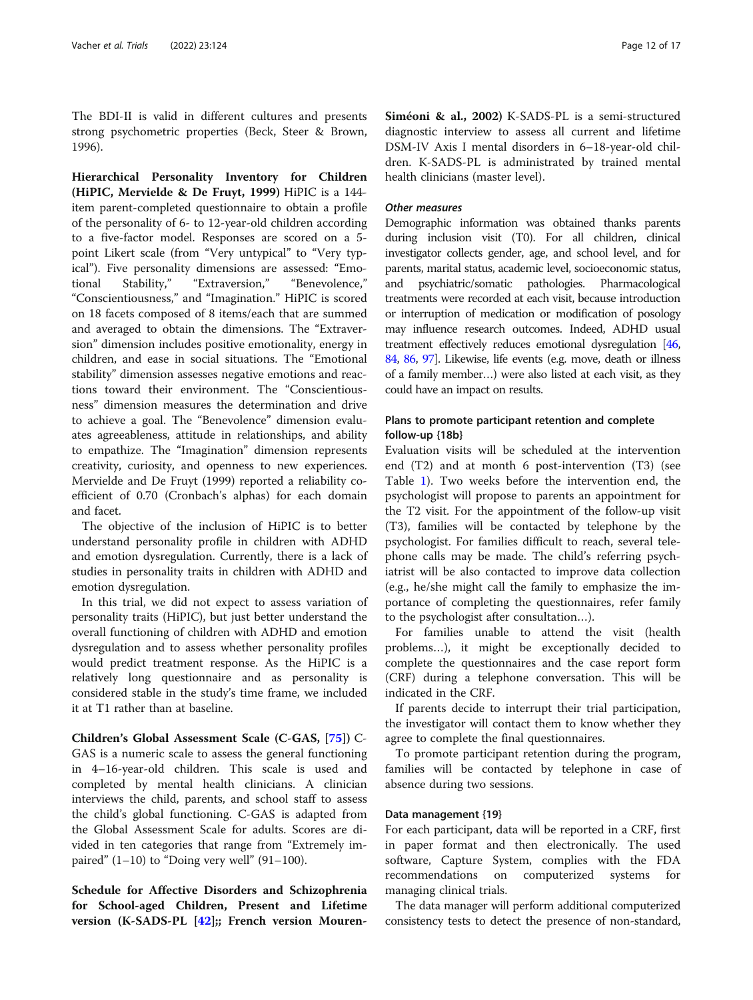The BDI-II is valid in different cultures and presents strong psychometric properties (Beck, Steer & Brown, 1996).

Hierarchical Personality Inventory for Children (HiPIC, Mervielde & De Fruyt, 1999) HiPIC is a 144 item parent-completed questionnaire to obtain a profile of the personality of 6- to 12-year-old children according to a five-factor model. Responses are scored on a 5 point Likert scale (from "Very untypical" to "Very typical"). Five personality dimensions are assessed: "Emotional Stability," "Extraversion," "Benevolence," "Conscientiousness," and "Imagination." HiPIC is scored on 18 facets composed of 8 items/each that are summed and averaged to obtain the dimensions. The "Extraversion" dimension includes positive emotionality, energy in children, and ease in social situations. The "Emotional stability" dimension assesses negative emotions and reactions toward their environment. The "Conscientiousness" dimension measures the determination and drive to achieve a goal. The "Benevolence" dimension evaluates agreeableness, attitude in relationships, and ability to empathize. The "Imagination" dimension represents creativity, curiosity, and openness to new experiences. Mervielde and De Fruyt (1999) reported a reliability coefficient of 0.70 (Cronbach's alphas) for each domain and facet.

The objective of the inclusion of HiPIC is to better understand personality profile in children with ADHD and emotion dysregulation. Currently, there is a lack of studies in personality traits in children with ADHD and emotion dysregulation.

In this trial, we did not expect to assess variation of personality traits (HiPIC), but just better understand the overall functioning of children with ADHD and emotion dysregulation and to assess whether personality profiles would predict treatment response. As the HiPIC is a relatively long questionnaire and as personality is considered stable in the study's time frame, we included it at T1 rather than at baseline.

Children's Global Assessment Scale (C-GAS, [\[75\]](#page-16-0)) C-GAS is a numeric scale to assess the general functioning in 4–16-year-old children. This scale is used and completed by mental health clinicians. A clinician interviews the child, parents, and school staff to assess the child's global functioning. C-GAS is adapted from the Global Assessment Scale for adults. Scores are divided in ten categories that range from "Extremely impaired"  $(1-10)$  to "Doing very well"  $(91-100)$ .

Schedule for Affective Disorders and Schizophrenia for School-aged Children, Present and Lifetime version (K-SADS-PL [[42](#page-15-0)];; French version Mouren-

Siméoni & al., 2002) K-SADS-PL is a semi-structured diagnostic interview to assess all current and lifetime DSM-IV Axis I mental disorders in 6–18-year-old children. K-SADS-PL is administrated by trained mental health clinicians (master level).

#### Other measures

Demographic information was obtained thanks parents during inclusion visit (T0). For all children, clinical investigator collects gender, age, and school level, and for parents, marital status, academic level, socioeconomic status, and psychiatric/somatic pathologies. Pharmacological treatments were recorded at each visit, because introduction or interruption of medication or modification of posology may influence research outcomes. Indeed, ADHD usual treatment effectively reduces emotional dysregulation [\[46](#page-15-0), [84](#page-16-0), [86,](#page-16-0) [97\]](#page-16-0). Likewise, life events (e.g. move, death or illness of a family member…) were also listed at each visit, as they could have an impact on results.

# Plans to promote participant retention and complete follow-up {18b}

Evaluation visits will be scheduled at the intervention end (T2) and at month 6 post-intervention (T3) (see Table [1\)](#page-7-0). Two weeks before the intervention end, the psychologist will propose to parents an appointment for the T2 visit. For the appointment of the follow-up visit (T3), families will be contacted by telephone by the psychologist. For families difficult to reach, several telephone calls may be made. The child's referring psychiatrist will be also contacted to improve data collection (e.g., he/she might call the family to emphasize the importance of completing the questionnaires, refer family to the psychologist after consultation…).

For families unable to attend the visit (health problems…), it might be exceptionally decided to complete the questionnaires and the case report form (CRF) during a telephone conversation. This will be indicated in the CRF.

If parents decide to interrupt their trial participation, the investigator will contact them to know whether they agree to complete the final questionnaires.

To promote participant retention during the program, families will be contacted by telephone in case of absence during two sessions.

#### Data management {19}

For each participant, data will be reported in a CRF, first in paper format and then electronically. The used software, Capture System, complies with the FDA recommendations on computerized systems for managing clinical trials.

The data manager will perform additional computerized consistency tests to detect the presence of non-standard,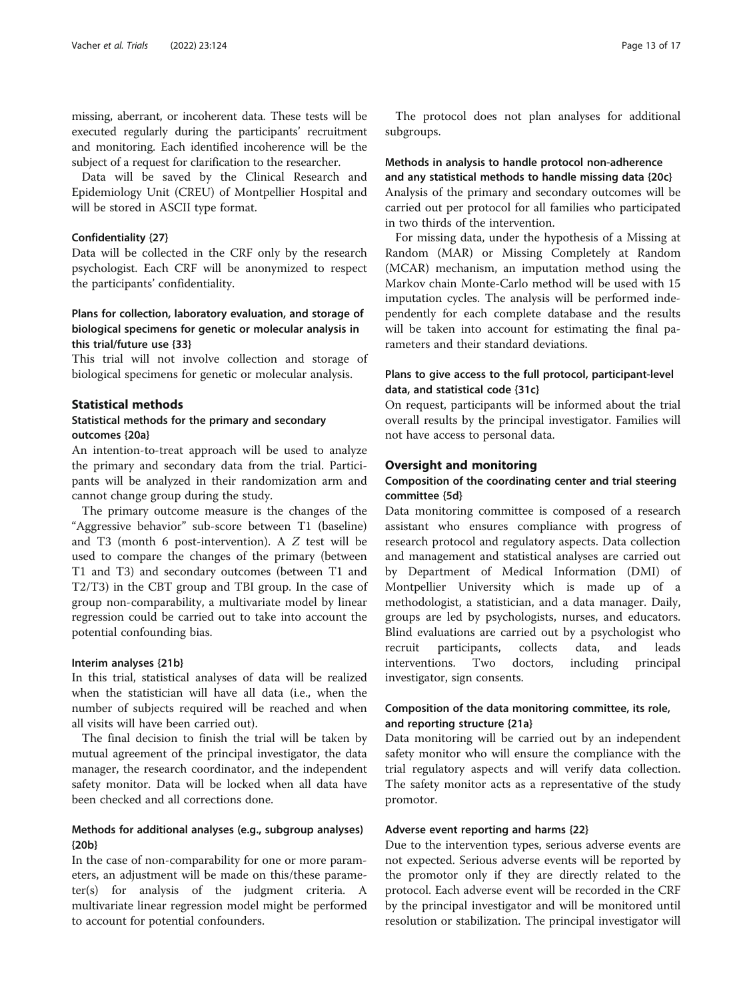missing, aberrant, or incoherent data. These tests will be executed regularly during the participants' recruitment and monitoring. Each identified incoherence will be the subject of a request for clarification to the researcher.

Data will be saved by the Clinical Research and Epidemiology Unit (CREU) of Montpellier Hospital and will be stored in ASCII type format.

#### Confidentiality {27}

Data will be collected in the CRF only by the research psychologist. Each CRF will be anonymized to respect the participants' confidentiality.

# Plans for collection, laboratory evaluation, and storage of biological specimens for genetic or molecular analysis in this trial/future use {33}

This trial will not involve collection and storage of biological specimens for genetic or molecular analysis.

# Statistical methods

# Statistical methods for the primary and secondary outcomes {20a}

An intention-to-treat approach will be used to analyze the primary and secondary data from the trial. Participants will be analyzed in their randomization arm and cannot change group during the study.

The primary outcome measure is the changes of the "Aggressive behavior" sub-score between T1 (baseline) and T3 (month 6 post-intervention). A Z test will be used to compare the changes of the primary (between T1 and T3) and secondary outcomes (between T1 and T2/T3) in the CBT group and TBI group. In the case of group non-comparability, a multivariate model by linear regression could be carried out to take into account the potential confounding bias.

#### Interim analyses {21b}

In this trial, statistical analyses of data will be realized when the statistician will have all data (i.e., when the number of subjects required will be reached and when all visits will have been carried out).

The final decision to finish the trial will be taken by mutual agreement of the principal investigator, the data manager, the research coordinator, and the independent safety monitor. Data will be locked when all data have been checked and all corrections done.

# Methods for additional analyses (e.g., subgroup analyses) {20b}

In the case of non-comparability for one or more parameters, an adjustment will be made on this/these parameter(s) for analysis of the judgment criteria. A multivariate linear regression model might be performed to account for potential confounders.

The protocol does not plan analyses for additional subgroups.

# Methods in analysis to handle protocol non-adherence and any statistical methods to handle missing data {20c}

Analysis of the primary and secondary outcomes will be carried out per protocol for all families who participated in two thirds of the intervention.

For missing data, under the hypothesis of a Missing at Random (MAR) or Missing Completely at Random (MCAR) mechanism, an imputation method using the Markov chain Monte-Carlo method will be used with 15 imputation cycles. The analysis will be performed independently for each complete database and the results will be taken into account for estimating the final parameters and their standard deviations.

# Plans to give access to the full protocol, participant-level data, and statistical code {31c}

On request, participants will be informed about the trial overall results by the principal investigator. Families will not have access to personal data.

# Oversight and monitoring

# Composition of the coordinating center and trial steering committee {5d}

Data monitoring committee is composed of a research assistant who ensures compliance with progress of research protocol and regulatory aspects. Data collection and management and statistical analyses are carried out by Department of Medical Information (DMI) of Montpellier University which is made up of a methodologist, a statistician, and a data manager. Daily, groups are led by psychologists, nurses, and educators. Blind evaluations are carried out by a psychologist who recruit participants, collects data, and leads interventions. Two doctors, including principal investigator, sign consents.

# Composition of the data monitoring committee, its role, and reporting structure {21a}

Data monitoring will be carried out by an independent safety monitor who will ensure the compliance with the trial regulatory aspects and will verify data collection. The safety monitor acts as a representative of the study promotor.

#### Adverse event reporting and harms {22}

Due to the intervention types, serious adverse events are not expected. Serious adverse events will be reported by the promotor only if they are directly related to the protocol. Each adverse event will be recorded in the CRF by the principal investigator and will be monitored until resolution or stabilization. The principal investigator will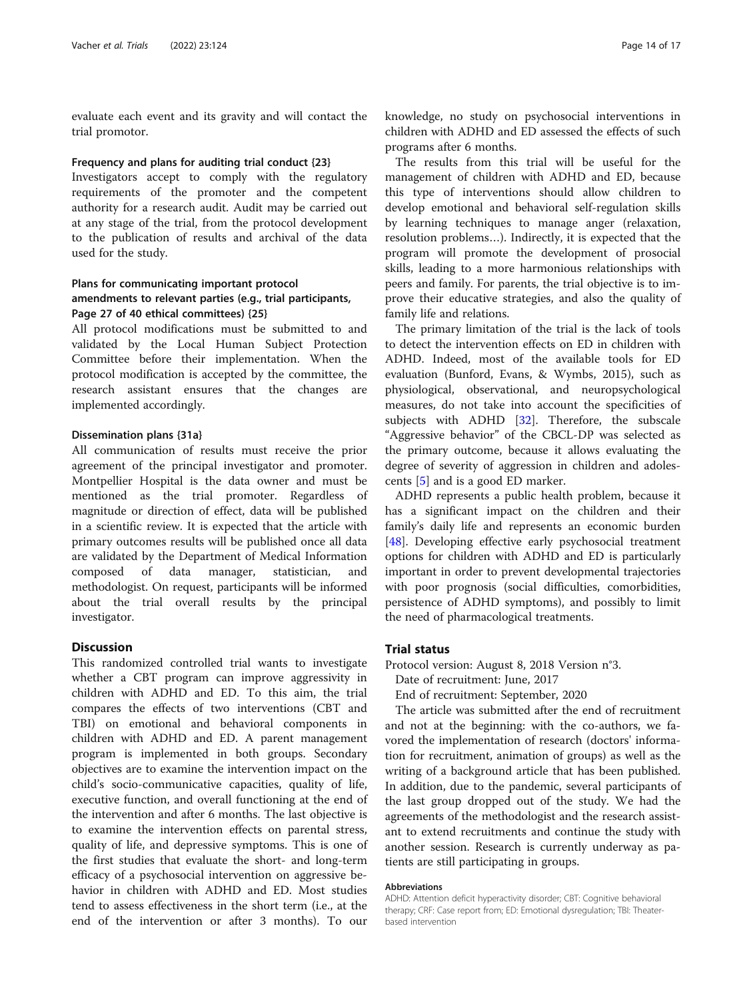evaluate each event and its gravity and will contact the trial promotor.

#### Frequency and plans for auditing trial conduct {23}

Investigators accept to comply with the regulatory requirements of the promoter and the competent authority for a research audit. Audit may be carried out at any stage of the trial, from the protocol development to the publication of results and archival of the data used for the study.

# Plans for communicating important protocol amendments to relevant parties (e.g., trial participants, Page 27 of 40 ethical committees) {25}

All protocol modifications must be submitted to and validated by the Local Human Subject Protection Committee before their implementation. When the protocol modification is accepted by the committee, the research assistant ensures that the changes are implemented accordingly.

### Dissemination plans {31a}

All communication of results must receive the prior agreement of the principal investigator and promoter. Montpellier Hospital is the data owner and must be mentioned as the trial promoter. Regardless of magnitude or direction of effect, data will be published in a scientific review. It is expected that the article with primary outcomes results will be published once all data are validated by the Department of Medical Information composed of data manager, statistician, and methodologist. On request, participants will be informed about the trial overall results by the principal investigator.

# **Discussion**

This randomized controlled trial wants to investigate whether a CBT program can improve aggressivity in children with ADHD and ED. To this aim, the trial compares the effects of two interventions (CBT and TBI) on emotional and behavioral components in children with ADHD and ED. A parent management program is implemented in both groups. Secondary objectives are to examine the intervention impact on the child's socio-communicative capacities, quality of life, executive function, and overall functioning at the end of the intervention and after 6 months. The last objective is to examine the intervention effects on parental stress, quality of life, and depressive symptoms. This is one of the first studies that evaluate the short- and long-term efficacy of a psychosocial intervention on aggressive behavior in children with ADHD and ED. Most studies tend to assess effectiveness in the short term (i.e., at the end of the intervention or after 3 months). To our

knowledge, no study on psychosocial interventions in children with ADHD and ED assessed the effects of such programs after 6 months.

The results from this trial will be useful for the management of children with ADHD and ED, because this type of interventions should allow children to develop emotional and behavioral self-regulation skills by learning techniques to manage anger (relaxation, resolution problems…). Indirectly, it is expected that the program will promote the development of prosocial skills, leading to a more harmonious relationships with peers and family. For parents, the trial objective is to improve their educative strategies, and also the quality of family life and relations.

The primary limitation of the trial is the lack of tools to detect the intervention effects on ED in children with ADHD. Indeed, most of the available tools for ED evaluation (Bunford, Evans, & Wymbs, 2015), such as physiological, observational, and neuropsychological measures, do not take into account the specificities of subjects with ADHD [[32](#page-15-0)]. Therefore, the subscale "Aggressive behavior" of the CBCL-DP was selected as the primary outcome, because it allows evaluating the degree of severity of aggression in children and adolescents [[5\]](#page-14-0) and is a good ED marker.

ADHD represents a public health problem, because it has a significant impact on the children and their family's daily life and represents an economic burden [[48\]](#page-15-0). Developing effective early psychosocial treatment options for children with ADHD and ED is particularly important in order to prevent developmental trajectories with poor prognosis (social difficulties, comorbidities, persistence of ADHD symptoms), and possibly to limit the need of pharmacological treatments.

# Trial status

Protocol version: August 8, 2018 Version n°3.

Date of recruitment: June, 2017

End of recruitment: September, 2020

The article was submitted after the end of recruitment and not at the beginning: with the co-authors, we favored the implementation of research (doctors' information for recruitment, animation of groups) as well as the writing of a background article that has been published. In addition, due to the pandemic, several participants of the last group dropped out of the study. We had the agreements of the methodologist and the research assistant to extend recruitments and continue the study with another session. Research is currently underway as patients are still participating in groups.

#### Abbreviations

ADHD: Attention deficit hyperactivity disorder; CBT: Cognitive behavioral therapy; CRF: Case report from; ED: Emotional dysregulation; TBI: Theaterbased intervention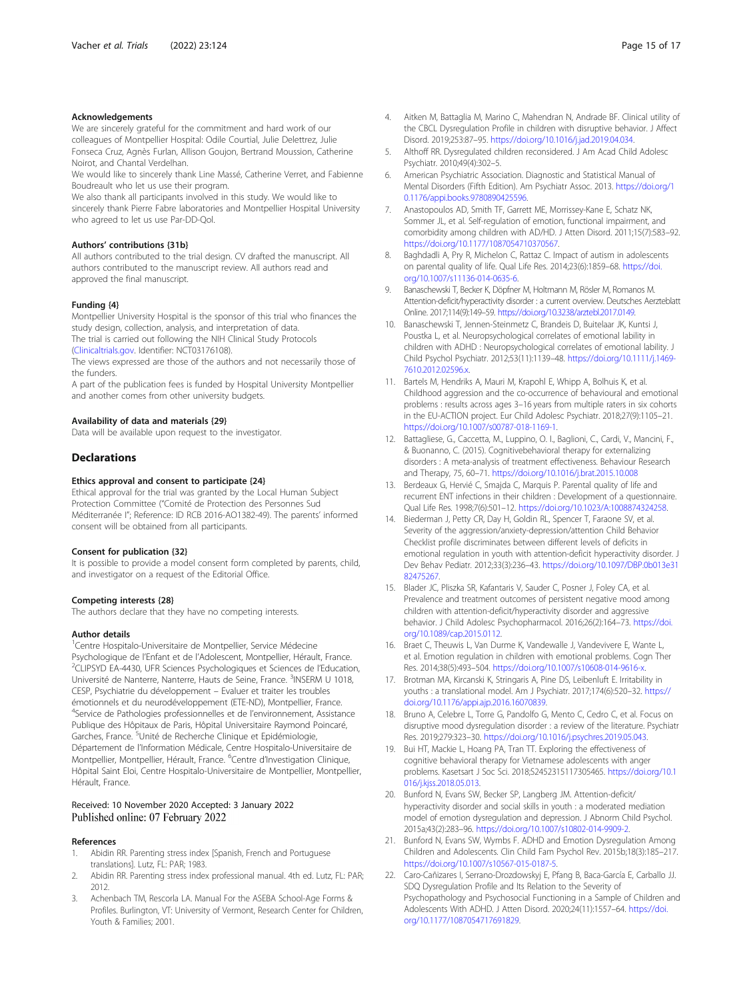#### <span id="page-14-0"></span>Acknowledgements

We are sincerely grateful for the commitment and hard work of our colleagues of Montpellier Hospital: Odile Courtial, Julie Delettrez, Julie Fonseca Cruz, Agnès Furlan, Allison Goujon, Bertrand Moussion, Catherine Noirot, and Chantal Verdelhan.

We would like to sincerely thank Line Massé, Catherine Verret, and Fabienne Boudreault who let us use their program.

We also thank all participants involved in this study. We would like to sincerely thank Pierre Fabre laboratories and Montpellier Hospital University who agreed to let us use Par-DD-Qol.

#### Authors' contributions {31b}

All authors contributed to the trial design. CV drafted the manuscript. All authors contributed to the manuscript review. All authors read and approved the final manuscript.

#### Funding {4}

Montpellier University Hospital is the sponsor of this trial who finances the study design, collection, analysis, and interpretation of data.

The trial is carried out following the NIH Clinical Study Protocols ([Clinicaltrials.gov](http://clinicaltrials.gov). Identifier: NCT03176108).

The views expressed are those of the authors and not necessarily those of the funders.

A part of the publication fees is funded by Hospital University Montpellier and another comes from other university budgets.

#### Availability of data and materials {29}

Data will be available upon request to the investigator.

#### **Declarations**

#### Ethics approval and consent to participate {24}

Ethical approval for the trial was granted by the Local Human Subject Protection Committee ("Comité de Protection des Personnes Sud Méditerranée I"; Reference: ID RCB 2016-AO1382-49). The parents' informed consent will be obtained from all participants.

#### Consent for publication {32}

It is possible to provide a model consent form completed by parents, child, and investigator on a request of the Editorial Office.

#### Competing interests {28}

The authors declare that they have no competing interests.

#### Author details

<sup>1</sup>Centre Hospitalo-Universitaire de Montpellier, Service Médecine Psychologique de l'Enfant et de l'Adolescent, Montpellier, Hérault, France. <sup>2</sup> <sup>2</sup>CLIPSYD EA-4430, UFR Sciences Psychologiques et Sciences de l'Education, Université de Nanterre, Nanterre, Hauts de Seine, France. <sup>3</sup>INSERM U 1018, CESP, Psychiatrie du développement – Evaluer et traiter les troubles émotionnels et du neurodéveloppement (ETE-ND), Montpellier, France. 4Service de Pathologies professionnelles et de l'environnement, Assistance Publique des Hôpitaux de Paris, Hôpital Universitaire Raymond Poincaré, Garches, France. <sup>5</sup>Unité de Recherche Clinique et Epidémiologie, Département de l'Information Médicale, Centre Hospitalo-Universitaire de Montpellier, Montpellier, Hérault, France. <sup>6</sup>Centre d'Investigation Clinique, Hôpital Saint Eloi, Centre Hospitalo-Universitaire de Montpellier, Montpellier, Hérault, France.

# Received: 10 November 2020 Accepted: 3 January 2022

#### References

- 1. Abidin RR. Parenting stress index [Spanish, French and Portuguese translations]. Lutz, FL: PAR; 1983.
- 2. Abidin RR. Parenting stress index professional manual. 4th ed. Lutz, FL: PAR; 2012.
- 3. Achenbach TM, Rescorla LA. Manual For the ASEBA School-Age Forms & Profiles. Burlington, VT: University of Vermont, Research Center for Children, Youth & Families; 2001.
- 4. Aitken M, Battaglia M, Marino C, Mahendran N, Andrade BF. Clinical utility of the CBCL Dysregulation Profile in children with disruptive behavior. J Affect Disord. 2019;253:87–95. [https://doi.org/10.1016/j.jad.2019.04.034.](https://doi.org/10.1016/j.jad.2019.04.034)
- 5. Althoff RR. Dysregulated children reconsidered. J Am Acad Child Adolesc Psychiatr. 2010;49(4):302–5.
- 6. American Psychiatric Association. Diagnostic and Statistical Manual of Mental Disorders (Fifth Edition). Am Psychiatr Assoc. 2013. [https://doi.org/1](https://doi.org/10.1176/appi.books.9780890425596) [0.1176/appi.books.9780890425596.](https://doi.org/10.1176/appi.books.9780890425596)
- 7. Anastopoulos AD, Smith TF, Garrett ME, Morrissey-Kane E, Schatz NK, Sommer JL, et al. Self-regulation of emotion, functional impairment, and comorbidity among children with AD/HD. J Atten Disord. 2011;15(7):583–92. [https://doi.org/10.1177/1087054710370567.](https://doi.org/10.1177/1087054710370567)
- 8. Baghdadli A, Pry R, Michelon C, Rattaz C. Impact of autism in adolescents on parental quality of life. Qual Life Res. 2014;23(6):1859–68. [https://doi.](https://doi.org/10.1007/s11136-014-0635-6) [org/10.1007/s11136-014-0635-6](https://doi.org/10.1007/s11136-014-0635-6).
- 9. Banaschewski T, Becker K, Döpfner M, Holtmann M, Rösler M, Romanos M. Attention-deficit/hyperactivity disorder : a current overview. Deutsches Aerzteblatt Online. 2017;114(9):149–59. [https://doi.org/10.3238/arztebl.2017.0149.](https://doi.org/10.3238/arztebl.2017.0149)
- 10. Banaschewski T, Jennen-Steinmetz C, Brandeis D, Buitelaar JK, Kuntsi J, Poustka L, et al. Neuropsychological correlates of emotional lability in children with ADHD : Neuropsychological correlates of emotional lability. J Child Psychol Psychiatr. 2012;53(11):1139–48. [https://doi.org/10.1111/j.1469-](https://doi.org/10.1111/j.1469-7610.2012.02596.x) [7610.2012.02596.x.](https://doi.org/10.1111/j.1469-7610.2012.02596.x)
- 11. Bartels M, Hendriks A, Mauri M, Krapohl E, Whipp A, Bolhuis K, et al. Childhood aggression and the co-occurrence of behavioural and emotional problems : results across ages 3–16 years from multiple raters in six cohorts in the EU-ACTION project. Eur Child Adolesc Psychiatr. 2018;27(9):1105–21. <https://doi.org/10.1007/s00787-018-1169-1>.
- 12. Battagliese, G., Caccetta, M., Luppino, O. I., Baglioni, C., Cardi, V., Mancini, F., & Buonanno, C. (2015). Cognitivebehavioral therapy for externalizing disorders : A meta-analysis of treatment effectiveness. Behaviour Research and Therapy, 75, 60–71. <https://doi.org/10.1016/j.brat.2015.10.008>
- 13. Berdeaux G, Hervié C, Smajda C, Marquis P. Parental quality of life and recurrent ENT infections in their children : Development of a questionnaire. Qual Life Res. 1998;7(6):501–12. <https://doi.org/10.1023/A:1008874324258>.
- 14. Biederman J, Petty CR, Day H, Goldin RL, Spencer T, Faraone SV, et al. Severity of the aggression/anxiety-depression/attention Child Behavior Checklist profile discriminates between different levels of deficits in emotional regulation in youth with attention-deficit hyperactivity disorder. J Dev Behav Pediatr. 2012;33(3):236–43. [https://doi.org/10.1097/DBP.0b013e31](https://doi.org/10.1097/DBP.0b013e3182475267) [82475267](https://doi.org/10.1097/DBP.0b013e3182475267).
- 15. Blader JC, Pliszka SR, Kafantaris V, Sauder C, Posner J, Foley CA, et al. Prevalence and treatment outcomes of persistent negative mood among children with attention-deficit/hyperactivity disorder and aggressive behavior. J Child Adolesc Psychopharmacol. 2016;26(2):164–73. [https://doi.](https://doi.org/10.1089/cap.2015.0112) [org/10.1089/cap.2015.0112.](https://doi.org/10.1089/cap.2015.0112)
- 16. Braet C, Theuwis L, Van Durme K, Vandewalle J, Vandevivere E, Wante L, et al. Emotion regulation in children with emotional problems. Cogn Ther Res. 2014;38(5):493–504. <https://doi.org/10.1007/s10608-014-9616-x>.
- 17. Brotman MA, Kircanski K, Stringaris A, Pine DS, Leibenluft E. Irritability in youths : a translational model. Am J Psychiatr. 2017;174(6):520–32. [https://](https://doi.org/10.1176/appi.ajp.2016.16070839) [doi.org/10.1176/appi.ajp.2016.16070839.](https://doi.org/10.1176/appi.ajp.2016.16070839)
- 18. Bruno A, Celebre L, Torre G, Pandolfo G, Mento C, Cedro C, et al. Focus on disruptive mood dysregulation disorder : a review of the literature. Psychiatr Res. 2019;279:323–30. [https://doi.org/10.1016/j.psychres.2019.05.043.](https://doi.org/10.1016/j.psychres.2019.05.043)
- 19. Bui HT, Mackie L, Hoang PA, Tran TT. Exploring the effectiveness of cognitive behavioral therapy for Vietnamese adolescents with anger problems. Kasetsart J Soc Sci. 2018;S2452315117305465. [https://doi.org/10.1](https://doi.org/10.1016/j.kjss.2018.05.013) [016/j.kjss.2018.05.013.](https://doi.org/10.1016/j.kjss.2018.05.013)
- 20. Bunford N, Evans SW, Becker SP, Langberg JM. Attention-deficit/ hyperactivity disorder and social skills in youth : a moderated mediation model of emotion dysregulation and depression. J Abnorm Child Psychol. 2015a;43(2):283–96. <https://doi.org/10.1007/s10802-014-9909-2>.
- 21. Bunford N, Evans SW, Wymbs F. ADHD and Emotion Dysregulation Among Children and Adolescents. Clin Child Fam Psychol Rev. 2015b;18(3):185–217. <https://doi.org/10.1007/s10567-015-0187-5>.
- 22. Caro-Cañizares I, Serrano-Drozdowskyj E, Pfang B, Baca-García E, Carballo JJ. SDQ Dysregulation Profile and Its Relation to the Severity of Psychopathology and Psychosocial Functioning in a Sample of Children and Adolescents With ADHD. J Atten Disord. 2020;24(11):1557–64. [https://doi.](https://doi.org/10.1177/1087054717691829) [org/10.1177/1087054717691829.](https://doi.org/10.1177/1087054717691829)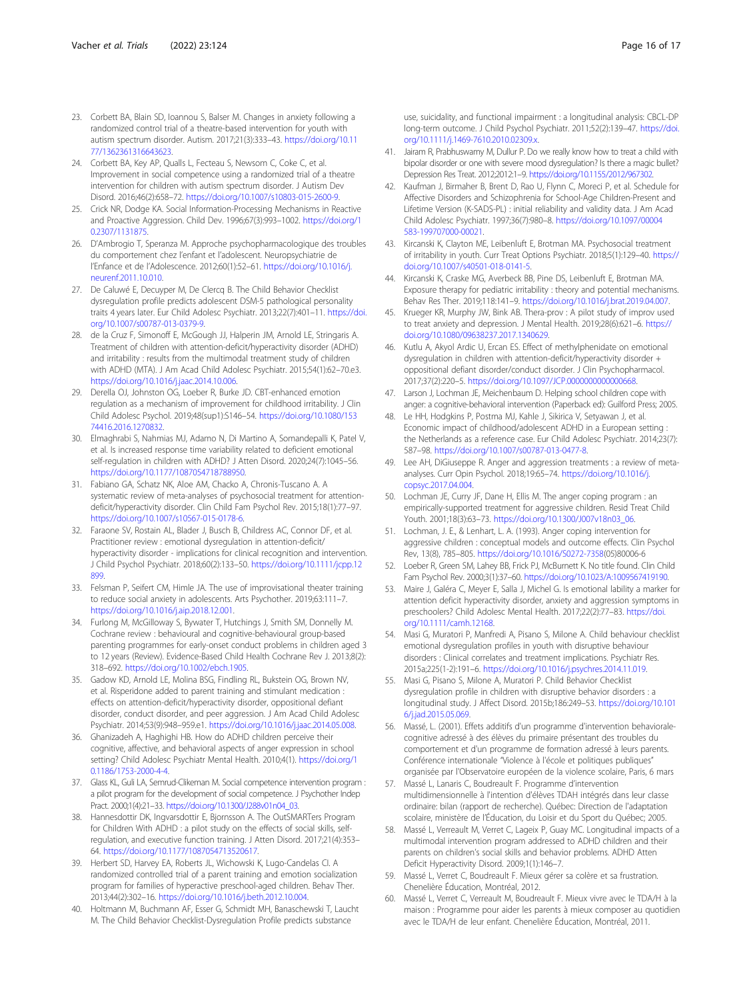- <span id="page-15-0"></span>23. Corbett BA, Blain SD, Ioannou S, Balser M. Changes in anxiety following a randomized control trial of a theatre-based intervention for youth with autism spectrum disorder. Autism. 2017;21(3):333–43. [https://doi.org/10.11](https://doi.org/10.1177/1362361316643623) [77/1362361316643623.](https://doi.org/10.1177/1362361316643623)
- 24. Corbett BA, Key AP, Qualls L, Fecteau S, Newsom C, Coke C, et al. Improvement in social competence using a randomized trial of a theatre intervention for children with autism spectrum disorder. J Autism Dev Disord. 2016;46(2):658–72. [https://doi.org/10.1007/s10803-015-2600-9.](https://doi.org/10.1007/s10803-015-2600-9)
- 25. Crick NR, Dodge KA. Social Information-Processing Mechanisms in Reactive and Proactive Aggression. Child Dev. 1996;67(3):993–1002. [https://doi.org/1](https://doi.org/10.2307/1131875) [0.2307/1131875](https://doi.org/10.2307/1131875).
- 26. D'Ambrogio T, Speranza M, Approche psychopharmacologique des troubles du comportement chez l'enfant et l'adolescent. Neuropsychiatrie de l'Enfance et de l'Adolescence. 2012;60(1):52–61. [https://doi.org/10.1016/j.](https://doi.org/10.1016/j.neurenf.2011.10.010) [neurenf.2011.10.010](https://doi.org/10.1016/j.neurenf.2011.10.010).
- 27. De Caluwé E, Decuyper M, De Clercq B. The Child Behavior Checklist dysregulation profile predicts adolescent DSM-5 pathological personality traits 4 years later. Eur Child Adolesc Psychiatr. 2013;22(7):401–11. [https://doi.](https://doi.org/10.1007/s00787-013-0379-9) [org/10.1007/s00787-013-0379-9](https://doi.org/10.1007/s00787-013-0379-9).
- 28. de la Cruz F, Simonoff E, McGough JJ, Halperin JM, Arnold LE, Stringaris A. Treatment of children with attention-deficit/hyperactivity disorder (ADHD) and irritability : results from the multimodal treatment study of children with ADHD (MTA). J Am Acad Child Adolesc Psychiatr. 2015;54(1):62–70.e3. [https://doi.org/10.1016/j.jaac.2014.10.006.](https://doi.org/10.1016/j.jaac.2014.10.006)
- 29. Derella OJ, Johnston OG, Loeber R, Burke JD. CBT-enhanced emotion regulation as a mechanism of improvement for childhood irritability. J Clin Child Adolesc Psychol. 2019;48(sup1):S146–54. [https://doi.org/10.1080/153](https://doi.org/10.1080/15374416.2016.1270832) [74416.2016.1270832.](https://doi.org/10.1080/15374416.2016.1270832)
- 30. Elmaghrabi S, Nahmias MJ, Adamo N, Di Martino A, Somandepalli K, Patel V, et al. Is increased response time variability related to deficient emotional self-regulation in children with ADHD? J Atten Disord. 2020;24(7):1045–56. <https://doi.org/10.1177/1087054718788950>.
- 31. Fabiano GA, Schatz NK, Aloe AM, Chacko A, Chronis-Tuscano A. A systematic review of meta-analyses of psychosocial treatment for attentiondeficit/hyperactivity disorder. Clin Child Fam Psychol Rev. 2015;18(1):77–97. <https://doi.org/10.1007/s10567-015-0178-6>.
- 32. Faraone SV, Rostain AL, Blader J, Busch B, Childress AC, Connor DF, et al. Practitioner review : emotional dysregulation in attention-deficit/ hyperactivity disorder - implications for clinical recognition and intervention. J Child Psychol Psychiatr. 2018;60(2):133–50. [https://doi.org/10.1111/jcpp.12](https://doi.org/10.1111/jcpp.12899) [899.](https://doi.org/10.1111/jcpp.12899)
- 33. Felsman P, Seifert CM, Himle JA. The use of improvisational theater training to reduce social anxiety in adolescents. Arts Psychother. 2019;63:111–7. <https://doi.org/10.1016/j.aip.2018.12.001>.
- 34. Furlong M, McGilloway S, Bywater T, Hutchings J, Smith SM, Donnelly M. Cochrane review : behavioural and cognitive-behavioural group-based parenting programmes for early-onset conduct problems in children aged 3 to 12 years (Review). Evidence-Based Child Health Cochrane Rev J. 2013;8(2): 318–692. <https://doi.org/10.1002/ebch.1905>.
- 35. Gadow KD, Arnold LE, Molina BSG, Findling RL, Bukstein OG, Brown NV, et al. Risperidone added to parent training and stimulant medication : effects on attention-deficit/hyperactivity disorder, oppositional defiant disorder, conduct disorder, and peer aggression. J Am Acad Child Adolesc Psychiatr. 2014;53(9):948–959.e1. [https://doi.org/10.1016/j.jaac.2014.05.008.](https://doi.org/10.1016/j.jaac.2014.05.008)
- 36. Ghanizadeh A, Haghighi HB. How do ADHD children perceive their cognitive, affective, and behavioral aspects of anger expression in school setting? Child Adolesc Psychiatr Mental Health. 2010;4(1). [https://doi.org/1](https://doi.org/10.1186/1753-2000-4-4) [0.1186/1753-2000-4-4.](https://doi.org/10.1186/1753-2000-4-4)
- 37. Glass KL, Guli LA, Semrud-Clikeman M. Social competence intervention program : a pilot program for the development of social competence. J Psychother Indep Pract. 2000;1(4):21–33. [https://doi.org/10.1300/J288v01n04\\_03.](https://doi.org/10.1300/J288v01n04_03)
- 38. Hannesdottir DK, Ingvarsdottir E, Bjornsson A. The OutSMARTers Program for Children With ADHD : a pilot study on the effects of social skills, selfregulation, and executive function training. J Atten Disord. 2017;21(4):353– 64. [https://doi.org/10.1177/1087054713520617.](https://doi.org/10.1177/1087054713520617)
- 39. Herbert SD, Harvey EA, Roberts JL, Wichowski K, Lugo-Candelas CI. A randomized controlled trial of a parent training and emotion socialization program for families of hyperactive preschool-aged children. Behav Ther. 2013;44(2):302–16. [https://doi.org/10.1016/j.beth.2012.10.004.](https://doi.org/10.1016/j.beth.2012.10.004)
- 40. Holtmann M, Buchmann AF, Esser G, Schmidt MH, Banaschewski T, Laucht M. The Child Behavior Checklist-Dysregulation Profile predicts substance

use, suicidality, and functional impairment : a longitudinal analysis: CBCL-DP long-term outcome. J Child Psychol Psychiatr. 2011;52(2):139–47. [https://doi.](https://doi.org/10.1111/j.1469-7610.2010.02309.x) [org/10.1111/j.1469-7610.2010.02309.x](https://doi.org/10.1111/j.1469-7610.2010.02309.x).

- 41. Jairam R, Prabhuswamy M, Dullur P. Do we really know how to treat a child with bipolar disorder or one with severe mood dysregulation? Is there a magic bullet? Depression Res Treat. 2012;2012:1–9. <https://doi.org/10.1155/2012/967302>.
- 42. Kaufman J, Birmaher B, Brent D, Rao U, Flynn C, Moreci P, et al. Schedule for Affective Disorders and Schizophrenia for School-Age Children-Present and Lifetime Version (K-SADS-PL) : initial reliability and validity data. J Am Acad Child Adolesc Psychiatr. 1997;36(7):980–8. [https://doi.org/10.1097/00004](https://doi.org/10.1097/00004583-199707000-00021) [583-199707000-00021.](https://doi.org/10.1097/00004583-199707000-00021)
- 43. Kircanski K, Clayton ME, Leibenluft E, Brotman MA. Psychosocial treatment of irritability in youth. Curr Treat Options Psychiatr. 2018;5(1):129–40. [https://](https://doi.org/10.1007/s40501-018-0141-5) [doi.org/10.1007/s40501-018-0141-5.](https://doi.org/10.1007/s40501-018-0141-5)
- 44. Kircanski K, Craske MG, Averbeck BB, Pine DS, Leibenluft E, Brotman MA. Exposure therapy for pediatric irritability : theory and potential mechanisms. Behav Res Ther. 2019;118:141–9. [https://doi.org/10.1016/j.brat.2019.04.007.](https://doi.org/10.1016/j.brat.2019.04.007)
- 45. Krueger KR, Murphy JW, Bink AB. Thera-prov : A pilot study of improv used to treat anxiety and depression. J Mental Health. 2019;28(6):621–6. [https://](https://doi.org/10.1080/09638237.2017.1340629) [doi.org/10.1080/09638237.2017.1340629.](https://doi.org/10.1080/09638237.2017.1340629)
- 46. Kutlu A, Akyol Ardic U, Ercan ES. Effect of methylphenidate on emotional dysregulation in children with attention-deficit/hyperactivity disorder oppositional defiant disorder/conduct disorder. J Clin Psychopharmacol. 2017;37(2):220–5. <https://doi.org/10.1097/JCP.0000000000000668>.
- 47. Larson J, Lochman JE, Meichenbaum D. Helping school children cope with anger: a cognitive-behavioral intervention (Paperback ed): Guilford Press; 2005.
- 48. Le HH, Hodgkins P, Postma MJ, Kahle J, Sikirica V, Setyawan J, et al. Economic impact of childhood/adolescent ADHD in a European setting : the Netherlands as a reference case. Eur Child Adolesc Psychiatr. 2014;23(7): 587–98. <https://doi.org/10.1007/s00787-013-0477-8>.
- 49. Lee AH, DiGiuseppe R. Anger and aggression treatments : a review of metaanalyses. Curr Opin Psychol. 2018;19:65–74. [https://doi.org/10.1016/j.](https://doi.org/10.1016/j.copsyc.2017.04.004) [copsyc.2017.04.004.](https://doi.org/10.1016/j.copsyc.2017.04.004)
- 50. Lochman JE, Curry JF, Dane H, Ellis M. The anger coping program : an empirically-supported treatment for aggressive children. Resid Treat Child Youth. 2001;18(3):63–73. [https://doi.org/10.1300/J007v18n03\\_06](https://doi.org/10.1300/J007v18n03_06).
- 51. Lochman, J. E., & Lenhart, L. A. (1993). Anger coping intervention for aggressive children : conceptual models and outcome effects. Clin Psychol Rev, 13(8), 785–805. [https://doi.org/10.1016/S0272-7358\(](https://doi.org/10.1016/S0272-7358)05)80006-6
- Loeber R, Green SM, Lahey BB, Frick PJ, McBurnett K. No title found. Clin Child Fam Psychol Rev. 2000;3(1):37–60. <https://doi.org/10.1023/A:1009567419190>.
- 53. Maire J, Galéra C, Meyer E, Salla J, Michel G. Is emotional lability a marker for attention deficit hyperactivity disorder, anxiety and aggression symptoms in preschoolers? Child Adolesc Mental Health. 2017;22(2):77–83. [https://doi.](https://doi.org/10.1111/camh.12168) [org/10.1111/camh.12168](https://doi.org/10.1111/camh.12168).
- 54. Masi G, Muratori P, Manfredi A, Pisano S, Milone A. Child behaviour checklist emotional dysregulation profiles in youth with disruptive behaviour disorders : Clinical correlates and treatment implications. Psychiatr Res. 2015a;225(1-2):191–6. <https://doi.org/10.1016/j.psychres.2014.11.019>.
- 55. Masi G, Pisano S, Milone A, Muratori P. Child Behavior Checklist dysregulation profile in children with disruptive behavior disorders : a longitudinal study. J Affect Disord. 2015b;186:249–53. [https://doi.org/10.101](https://doi.org/10.1016/j.jad.2015.05.069) [6/j.jad.2015.05.069](https://doi.org/10.1016/j.jad.2015.05.069).
- 56. Massé, L. (2001). Effets additifs d'un programme d'intervention behavioralecognitive adressé à des élèves du primaire présentant des troubles du comportement et d'un programme de formation adressé à leurs parents. Conférence internationale "Violence à l'école et politiques publiques' organisée par l'Observatoire européen de la violence scolaire, Paris, 6 mars
- 57. Massé L, Lanaris C, Boudreault F. Programme d'intervention multidimensionnelle à l'intention d'élèves TDAH intégrés dans leur classe ordinaire: bilan (rapport de recherche). Québec: Direction de l'adaptation scolaire, ministère de l'Éducation, du Loisir et du Sport du Québec; 2005.
- 58. Massé L, Verreault M, Verret C, Lageix P, Guay MC. Longitudinal impacts of a multimodal intervention program addressed to ADHD children and their parents on children's social skills and behavior problems. ADHD Atten Deficit Hyperactivity Disord. 2009;1(1):146–7.
- 59. Massé L, Verret C, Boudreault F. Mieux gérer sa colère et sa frustration. Chenelière Éducation, Montréal, 2012.
- 60. Massé L, Verret C, Verreault M, Boudreault F. Mieux vivre avec le TDA/H à la maison : Programme pour aider les parents à mieux composer au quotidien avec le TDA/H de leur enfant. Chenelière Éducation, Montréal, 2011.